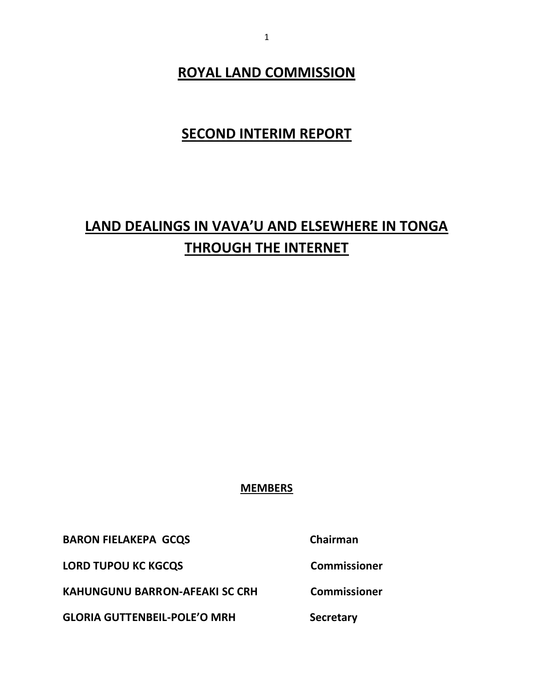# **ROYAL LAND COMMISSION**

# **SECOND INTERIM REPORT**

# **LAND DEALINGS IN VAVA'U AND ELSEWHERE IN TONGA THROUGH THE INTERNET**

# **MEMBERS**

**BARON FIELAKEPA GCQS** Chairman

LORD TUPOU KC KGCQS **COMMISSIONER** 

**KAHUNGUNU BARRON-AFEAKI SC CRH Commissioner**

**GLORIA GUTTENBEIL-POLE'O MRH Secretary**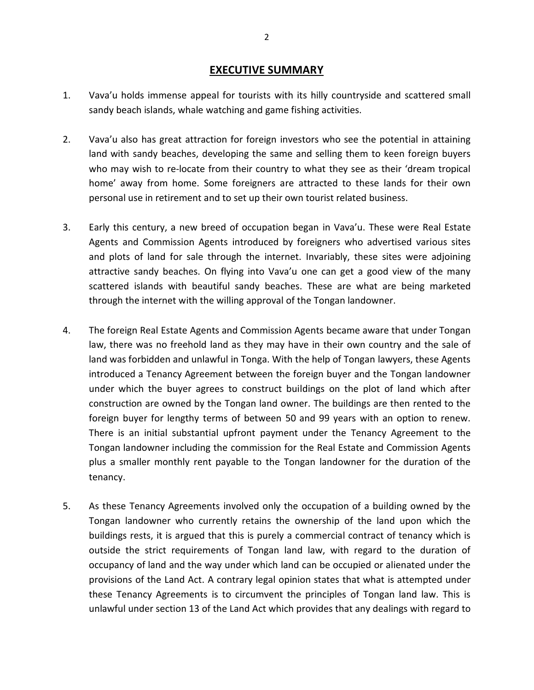# **EXECUTIVE SUMMARY**

- 1. Vava'u holds immense appeal for tourists with its hilly countryside and scattered small sandy beach islands, whale watching and game fishing activities.
- 2. Vava'u also has great attraction for foreign investors who see the potential in attaining land with sandy beaches, developing the same and selling them to keen foreign buyers who may wish to re-locate from their country to what they see as their 'dream tropical home' away from home. Some foreigners are attracted to these lands for their own personal use in retirement and to set up their own tourist related business.
- 3. Early this century, a new breed of occupation began in Vava'u. These were Real Estate Agents and Commission Agents introduced by foreigners who advertised various sites and plots of land for sale through the internet. Invariably, these sites were adjoining attractive sandy beaches. On flying into Vava'u one can get a good view of the many scattered islands with beautiful sandy beaches. These are what are being marketed through the internet with the willing approval of the Tongan landowner.
- 4. The foreign Real Estate Agents and Commission Agents became aware that under Tongan law, there was no freehold land as they may have in their own country and the sale of land was forbidden and unlawful in Tonga. With the help of Tongan lawyers, these Agents introduced a Tenancy Agreement between the foreign buyer and the Tongan landowner under which the buyer agrees to construct buildings on the plot of land which after construction are owned by the Tongan land owner. The buildings are then rented to the foreign buyer for lengthy terms of between 50 and 99 years with an option to renew. There is an initial substantial upfront payment under the Tenancy Agreement to the Tongan landowner including the commission for the Real Estate and Commission Agents plus a smaller monthly rent payable to the Tongan landowner for the duration of the tenancy.
- 5. As these Tenancy Agreements involved only the occupation of a building owned by the Tongan landowner who currently retains the ownership of the land upon which the buildings rests, it is argued that this is purely a commercial contract of tenancy which is outside the strict requirements of Tongan land law, with regard to the duration of occupancy of land and the way under which land can be occupied or alienated under the provisions of the Land Act. A contrary legal opinion states that what is attempted under these Tenancy Agreements is to circumvent the principles of Tongan land law. This is unlawful under section 13 of the Land Act which provides that any dealings with regard to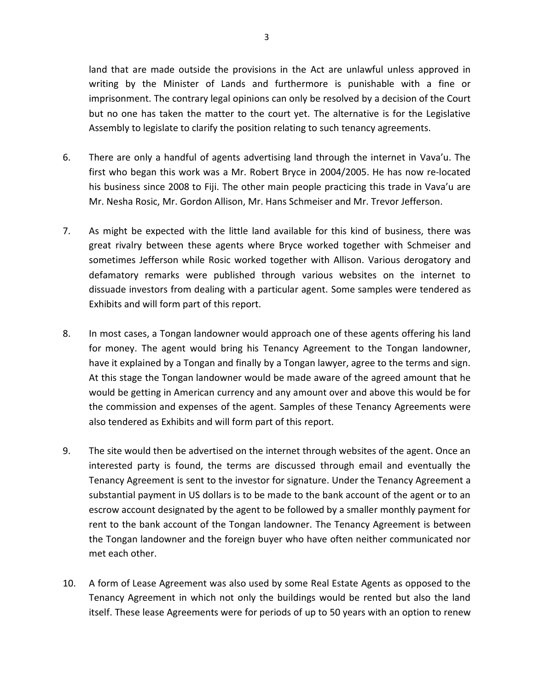land that are made outside the provisions in the Act are unlawful unless approved in writing by the Minister of Lands and furthermore is punishable with a fine or imprisonment. The contrary legal opinions can only be resolved by a decision of the Court but no one has taken the matter to the court yet. The alternative is for the Legislative Assembly to legislate to clarify the position relating to such tenancy agreements.

- 6. There are only a handful of agents advertising land through the internet in Vava'u. The first who began this work was a Mr. Robert Bryce in 2004/2005. He has now re-located his business since 2008 to Fiji. The other main people practicing this trade in Vava'u are Mr. Nesha Rosic, Mr. Gordon Allison, Mr. Hans Schmeiser and Mr. Trevor Jefferson.
- 7. As might be expected with the little land available for this kind of business, there was great rivalry between these agents where Bryce worked together with Schmeiser and sometimes Jefferson while Rosic worked together with Allison. Various derogatory and defamatory remarks were published through various websites on the internet to dissuade investors from dealing with a particular agent. Some samples were tendered as Exhibits and will form part of this report.
- 8. In most cases, a Tongan landowner would approach one of these agents offering his land for money. The agent would bring his Tenancy Agreement to the Tongan landowner, have it explained by a Tongan and finally by a Tongan lawyer, agree to the terms and sign. At this stage the Tongan landowner would be made aware of the agreed amount that he would be getting in American currency and any amount over and above this would be for the commission and expenses of the agent. Samples of these Tenancy Agreements were also tendered as Exhibits and will form part of this report.
- 9. The site would then be advertised on the internet through websites of the agent. Once an interested party is found, the terms are discussed through email and eventually the Tenancy Agreement is sent to the investor for signature. Under the Tenancy Agreement a substantial payment in US dollars is to be made to the bank account of the agent or to an escrow account designated by the agent to be followed by a smaller monthly payment for rent to the bank account of the Tongan landowner. The Tenancy Agreement is between the Tongan landowner and the foreign buyer who have often neither communicated nor met each other.
- 10. A form of Lease Agreement was also used by some Real Estate Agents as opposed to the Tenancy Agreement in which not only the buildings would be rented but also the land itself. These lease Agreements were for periods of up to 50 years with an option to renew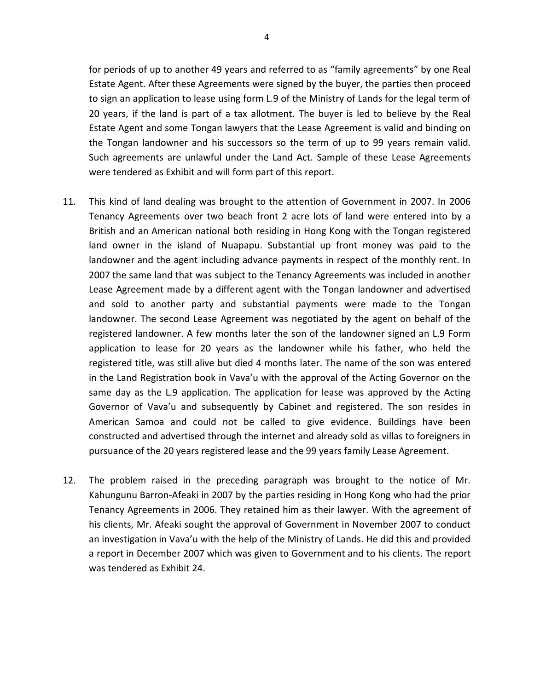for periods of up to another 49 years and referred to as "family agreements" by one Real Estate Agent. After these Agreements were signed by the buyer, the parties then proceed to sign an application to lease using form L.9 of the Ministry of Lands for the legal term of 20 years, if the land is part of a tax allotment. The buyer is led to believe by the Real Estate Agent and some Tongan lawyers that the Lease Agreement is valid and binding on the Tongan landowner and his successors so the term of up to 99 years remain valid. Such agreements are unlawful under the Land Act. Sample of these Lease Agreements were tendered as Exhibit and will form part of this report.

- 11. This kind of land dealing was brought to the attention of Government in 2007. In 2006 Tenancy Agreements over two beach front 2 acre lots of land were entered into by a British and an American national both residing in Hong Kong with the Tongan registered land owner in the island of Nuapapu. Substantial up front money was paid to the landowner and the agent including advance payments in respect of the monthly rent. In 2007 the same land that was subject to the Tenancy Agreements was included in another Lease Agreement made by a different agent with the Tongan landowner and advertised and sold to another party and substantial payments were made to the Tongan landowner. The second Lease Agreement was negotiated by the agent on behalf of the registered landowner. A few months later the son of the landowner signed an L.9 Form application to lease for 20 years as the landowner while his father, who held the registered title, was still alive but died 4 months later. The name of the son was entered in the Land Registration book in Vava'u with the approval of the Acting Governor on the same day as the L.9 application. The application for lease was approved by the Acting Governor of Vava'u and subsequently by Cabinet and registered. The son resides in American Samoa and could not be called to give evidence. Buildings have been constructed and advertised through the internet and already sold as villas to foreigners in pursuance of the 20 years registered lease and the 99 years family Lease Agreement.
- 12. The problem raised in the preceding paragraph was brought to the notice of Mr. Kahungunu Barron-Afeaki in 2007 by the parties residing in Hong Kong who had the prior Tenancy Agreements in 2006. They retained him as their lawyer. With the agreement of his clients, Mr. Afeaki sought the approval of Government in November 2007 to conduct an investigation in Vava'u with the help of the Ministry of Lands. He did this and provided a report in December 2007 which was given to Government and to his clients. The report was tendered as Exhibit 24.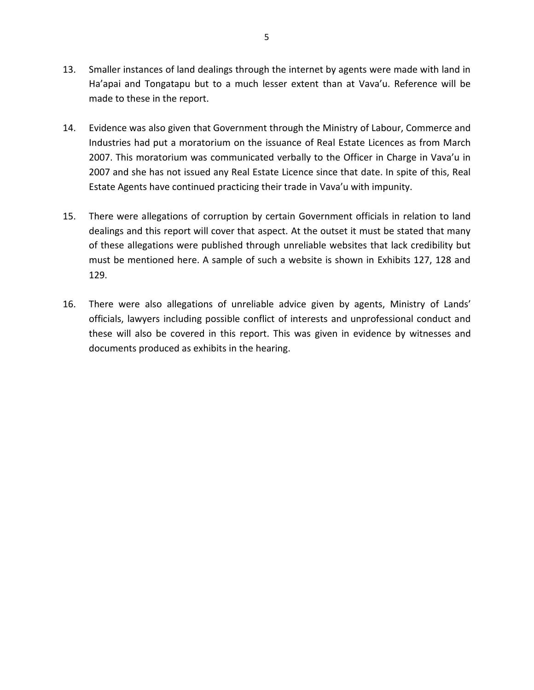- 13. Smaller instances of land dealings through the internet by agents were made with land in Ha'apai and Tongatapu but to a much lesser extent than at Vava'u. Reference will be made to these in the report.
- 14. Evidence was also given that Government through the Ministry of Labour, Commerce and Industries had put a moratorium on the issuance of Real Estate Licences as from March 2007. This moratorium was communicated verbally to the Officer in Charge in Vava'u in 2007 and she has not issued any Real Estate Licence since that date. In spite of this, Real Estate Agents have continued practicing their trade in Vava'u with impunity.
- 15. There were allegations of corruption by certain Government officials in relation to land dealings and this report will cover that aspect. At the outset it must be stated that many of these allegations were published through unreliable websites that lack credibility but must be mentioned here. A sample of such a website is shown in Exhibits 127, 128 and 129.
- 16. There were also allegations of unreliable advice given by agents, Ministry of Lands' officials, lawyers including possible conflict of interests and unprofessional conduct and these will also be covered in this report. This was given in evidence by witnesses and documents produced as exhibits in the hearing.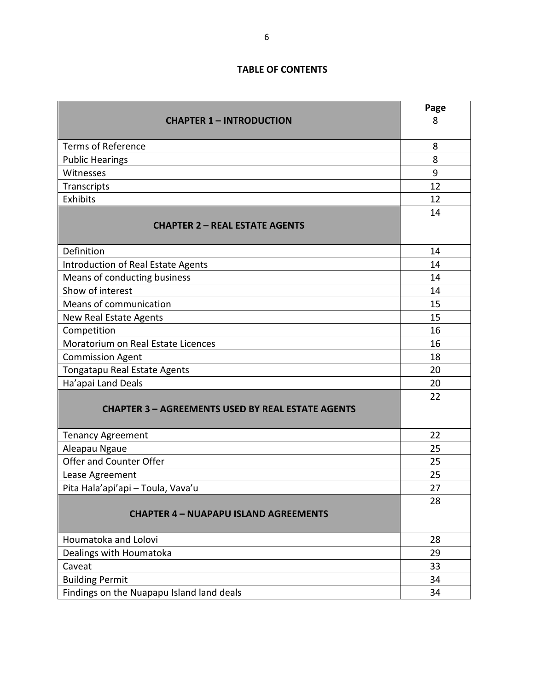# **TABLE OF CONTENTS**

|                                                          | Page |
|----------------------------------------------------------|------|
| <b>CHAPTER 1 - INTRODUCTION</b>                          | 8    |
| <b>Terms of Reference</b>                                | 8    |
|                                                          | 8    |
| <b>Public Hearings</b><br>Witnesses                      | 9    |
| Transcripts                                              | 12   |
| <b>Exhibits</b>                                          | 12   |
|                                                          | 14   |
| <b>CHAPTER 2 - REAL ESTATE AGENTS</b>                    |      |
| Definition                                               | 14   |
| Introduction of Real Estate Agents                       | 14   |
| Means of conducting business                             | 14   |
| Show of interest                                         | 14   |
| Means of communication                                   | 15   |
| New Real Estate Agents                                   | 15   |
| Competition                                              | 16   |
| Moratorium on Real Estate Licences                       | 16   |
| <b>Commission Agent</b>                                  | 18   |
| Tongatapu Real Estate Agents                             | 20   |
| Ha'apai Land Deals                                       | 20   |
|                                                          | 22   |
| <b>CHAPTER 3 - AGREEMENTS USED BY REAL ESTATE AGENTS</b> |      |
|                                                          | 22   |
| <b>Tenancy Agreement</b>                                 | 25   |
| Aleapau Ngaue<br>Offer and Counter Offer                 | 25   |
| Lease Agreement                                          | 25   |
| Pita Hala'api'api - Toula, Vava'u                        | 27   |
|                                                          | 28   |
| <b>CHAPTER 4 - NUAPAPU ISLAND AGREEMENTS</b>             |      |
| Houmatoka and Lolovi                                     | 28   |
| Dealings with Houmatoka                                  | 29   |
| Caveat                                                   | 33   |
| <b>Building Permit</b>                                   | 34   |
| Findings on the Nuapapu Island land deals                | 34   |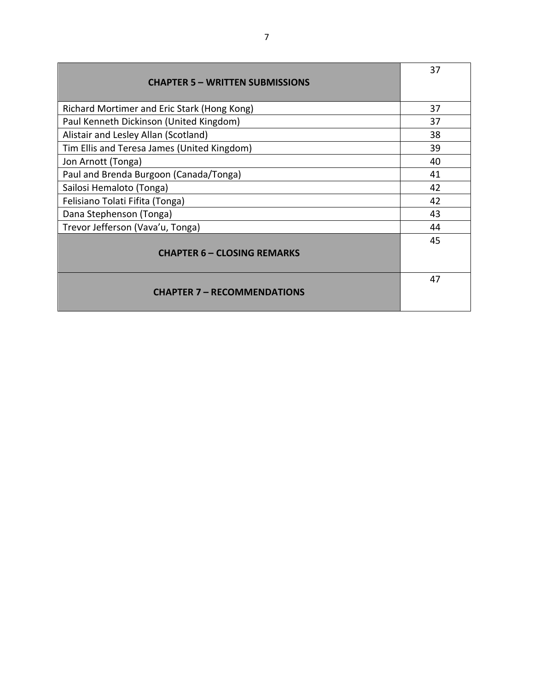| <b>CHAPTER 5 - WRITTEN SUBMISSIONS</b>      | 37 |
|---------------------------------------------|----|
| Richard Mortimer and Eric Stark (Hong Kong) | 37 |
| Paul Kenneth Dickinson (United Kingdom)     | 37 |
| Alistair and Lesley Allan (Scotland)        | 38 |
| Tim Ellis and Teresa James (United Kingdom) | 39 |
| Jon Arnott (Tonga)                          | 40 |
| Paul and Brenda Burgoon (Canada/Tonga)      | 41 |
| Sailosi Hemaloto (Tonga)                    | 42 |
| Felisiano Tolati Fifita (Tonga)             | 42 |
| Dana Stephenson (Tonga)                     | 43 |
| Trevor Jefferson (Vava'u, Tonga)            | 44 |
| <b>CHAPTER 6 - CLOSING REMARKS</b>          | 45 |
| <b>CHAPTER 7 - RECOMMENDATIONS</b>          | 47 |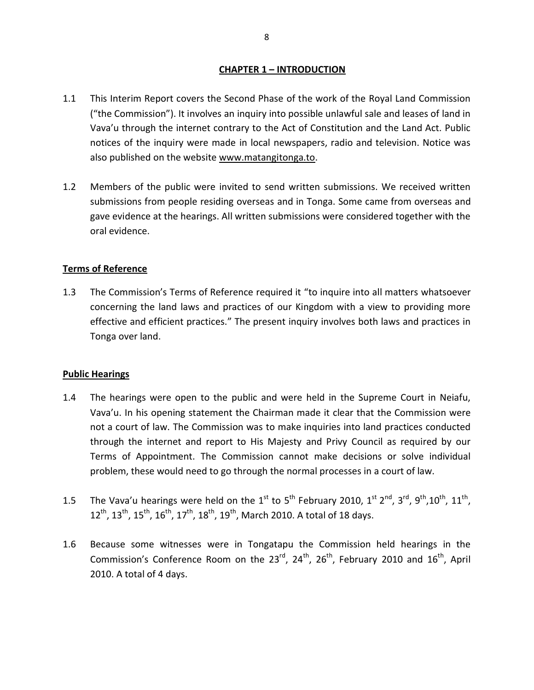# **CHAPTER 1 – INTRODUCTION**

- 1.1 This Interim Report covers the Second Phase of the work of the Royal Land Commission ("the Commission"). It involves an inquiry into possible unlawful sale and leases of land in Vava'u through the internet contrary to the Act of Constitution and the Land Act. Public notices of the inquiry were made in local newspapers, radio and television. Notice was also published on the website www.matangitonga.to.
- 1.2 Members of the public were invited to send written submissions. We received written submissions from people residing overseas and in Tonga. Some came from overseas and gave evidence at the hearings. All written submissions were considered together with the oral evidence.

# **Terms of Reference**

1.3 The Commission's Terms of Reference required it "to inquire into all matters whatsoever concerning the land laws and practices of our Kingdom with a view to providing more effective and efficient practices." The present inquiry involves both laws and practices in Tonga over land.

# **Public Hearings**

- 1.4 The hearings were open to the public and were held in the Supreme Court in Neiafu, Vava'u. In his opening statement the Chairman made it clear that the Commission were not a court of law. The Commission was to make inquiries into land practices conducted through the internet and report to His Majesty and Privy Council as required by our Terms of Appointment. The Commission cannot make decisions or solve individual problem, these would need to go through the normal processes in a court of law.
- 1.5 The Vava'u hearings were held on the  $1^{st}$  to  $5^{th}$  February 2010,  $1^{st}$   $2^{nd}$ ,  $3^{rd}$ ,  $9^{th}$ ,  $10^{th}$ ,  $11^{th}$ ,  $12^{th}$ ,  $13^{th}$ ,  $15^{th}$ ,  $16^{th}$ ,  $17^{th}$ ,  $18^{th}$ ,  $19^{th}$ , March 2010. A total of 18 days.
- 1.6 Because some witnesses were in Tongatapu the Commission held hearings in the Commission's Conference Room on the  $23^{rd}$ ,  $24^{th}$ ,  $26^{th}$ , February 2010 and  $16^{th}$ , April 2010. A total of 4 days.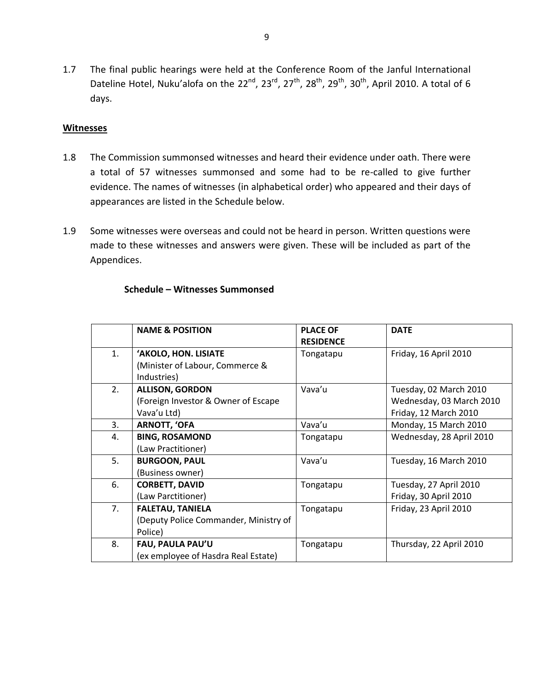1.7 The final public hearings were held at the Conference Room of the Janful International Dateline Hotel, Nuku'alofa on the  $22^{nd}$ ,  $23^{rd}$ ,  $27^{th}$ ,  $28^{th}$ ,  $29^{th}$ ,  $30^{th}$ , April 2010. A total of 6 days.

#### **Witnesses**

- 1.8 The Commission summonsed witnesses and heard their evidence under oath. There were a total of 57 witnesses summonsed and some had to be re-called to give further evidence. The names of witnesses (in alphabetical order) who appeared and their days of appearances are listed in the Schedule below.
- 1.9 Some witnesses were overseas and could not be heard in person. Written questions were made to these witnesses and answers were given. These will be included as part of the Appendices.

|    | <b>NAME &amp; POSITION</b>            | <b>PLACE OF</b><br><b>RESIDENCE</b> | <b>DATE</b>              |
|----|---------------------------------------|-------------------------------------|--------------------------|
| 1. | 'AKOLO, HON. LISIATE                  | Tongatapu                           | Friday, 16 April 2010    |
|    | (Minister of Labour, Commerce &       |                                     |                          |
|    | Industries)                           |                                     |                          |
| 2. | <b>ALLISON, GORDON</b>                | Vava'u                              | Tuesday, 02 March 2010   |
|    | (Foreign Investor & Owner of Escape   |                                     | Wednesday, 03 March 2010 |
|    | Vava'u Ltd)                           |                                     | Friday, 12 March 2010    |
| 3. | <b>ARNOTT, 'OFA</b>                   | Vava'u                              | Monday, 15 March 2010    |
| 4. | <b>BING, ROSAMOND</b>                 | Tongatapu                           | Wednesday, 28 April 2010 |
|    | (Law Practitioner)                    |                                     |                          |
| 5. | <b>BURGOON, PAUL</b>                  | Vava'u                              | Tuesday, 16 March 2010   |
|    | (Business owner)                      |                                     |                          |
| 6. | <b>CORBETT, DAVID</b>                 | Tongatapu                           | Tuesday, 27 April 2010   |
|    | (Law Parctitioner)                    |                                     | Friday, 30 April 2010    |
| 7. | <b>FALETAU, TANIELA</b>               | Tongatapu                           | Friday, 23 April 2010    |
|    | (Deputy Police Commander, Ministry of |                                     |                          |
|    | Police)                               |                                     |                          |
| 8. | FAU, PAULA PAU'U                      | Tongatapu                           | Thursday, 22 April 2010  |
|    | (ex employee of Hasdra Real Estate)   |                                     |                          |

#### **Schedule – Witnesses Summonsed**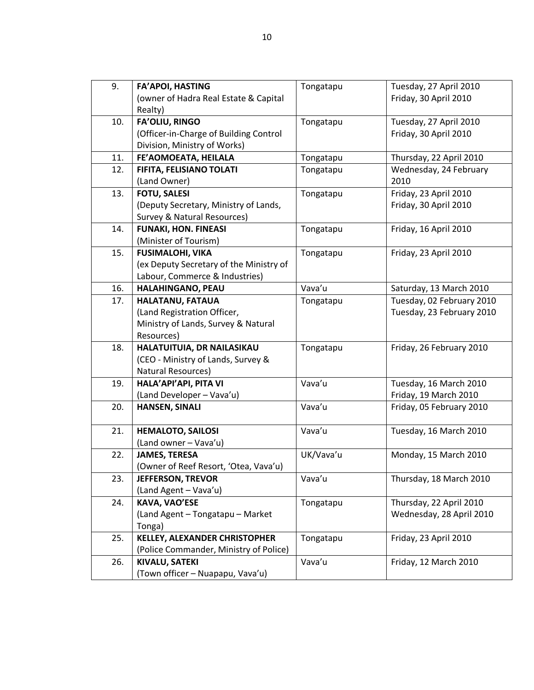| 9.  | <b>FA'APOI, HASTING</b>                 | Tongatapu | Tuesday, 27 April 2010    |
|-----|-----------------------------------------|-----------|---------------------------|
|     | (owner of Hadra Real Estate & Capital   |           | Friday, 30 April 2010     |
|     | Realty)                                 |           |                           |
| 10. | <b>FA'OLIU, RINGO</b>                   | Tongatapu | Tuesday, 27 April 2010    |
|     | (Officer-in-Charge of Building Control  |           | Friday, 30 April 2010     |
|     | Division, Ministry of Works)            |           |                           |
| 11. | FE'AOMOEATA, HEILALA                    | Tongatapu | Thursday, 22 April 2010   |
| 12. | FIFITA, FELISIANO TOLATI                | Tongatapu | Wednesday, 24 February    |
|     | (Land Owner)                            |           | 2010                      |
| 13. | <b>FOTU, SALESI</b>                     | Tongatapu | Friday, 23 April 2010     |
|     | (Deputy Secretary, Ministry of Lands,   |           | Friday, 30 April 2010     |
|     | Survey & Natural Resources)             |           |                           |
| 14. | <b>FUNAKI, HON. FINEASI</b>             | Tongatapu | Friday, 16 April 2010     |
|     | (Minister of Tourism)                   |           |                           |
| 15. | <b>FUSIMALOHI, VIKA</b>                 | Tongatapu | Friday, 23 April 2010     |
|     | (ex Deputy Secretary of the Ministry of |           |                           |
|     | Labour, Commerce & Industries)          |           |                           |
| 16. | HALAHINGANO, PEAU                       | Vava'u    | Saturday, 13 March 2010   |
| 17. | HALATANU, FATAUA                        | Tongatapu | Tuesday, 02 February 2010 |
|     | (Land Registration Officer,             |           | Tuesday, 23 February 2010 |
|     | Ministry of Lands, Survey & Natural     |           |                           |
|     | Resources)                              |           |                           |
| 18. | HALATUITUIA, DR NAILASIKAU              | Tongatapu | Friday, 26 February 2010  |
|     | (CEO - Ministry of Lands, Survey &      |           |                           |
|     | Natural Resources)                      |           |                           |
| 19. | HALA'API'API, PITA VI                   | Vava'u    | Tuesday, 16 March 2010    |
|     | (Land Developer - Vava'u)               |           | Friday, 19 March 2010     |
| 20. | <b>HANSEN, SINALI</b>                   | Vava'u    | Friday, 05 February 2010  |
|     |                                         |           |                           |
| 21. | <b>HEMALOTO, SAILOSI</b>                | Vava'u    | Tuesday, 16 March 2010    |
|     | (Land owner - Vava'u)                   |           |                           |
| 22. | <b>JAMES, TERESA</b>                    | UK/Vava'u | Monday, 15 March 2010     |
|     | (Owner of Reef Resort, 'Otea, Vava'u)   |           |                           |
| 23. | <b>JEFFERSON, TREVOR</b>                | Vava'u    | Thursday, 18 March 2010   |
|     | (Land Agent - Vava'u)                   |           |                           |
| 24. | <b>KAVA, VAO'ESE</b>                    | Tongatapu | Thursday, 22 April 2010   |
|     | (Land Agent - Tongatapu - Market        |           | Wednesday, 28 April 2010  |
|     | Tonga)                                  |           |                           |
| 25. | KELLEY, ALEXANDER CHRISTOPHER           | Tongatapu | Friday, 23 April 2010     |
|     | (Police Commander, Ministry of Police)  |           |                           |
| 26. | <b>KIVALU, SATEKI</b>                   | Vava'u    | Friday, 12 March 2010     |
|     | (Town officer - Nuapapu, Vava'u)        |           |                           |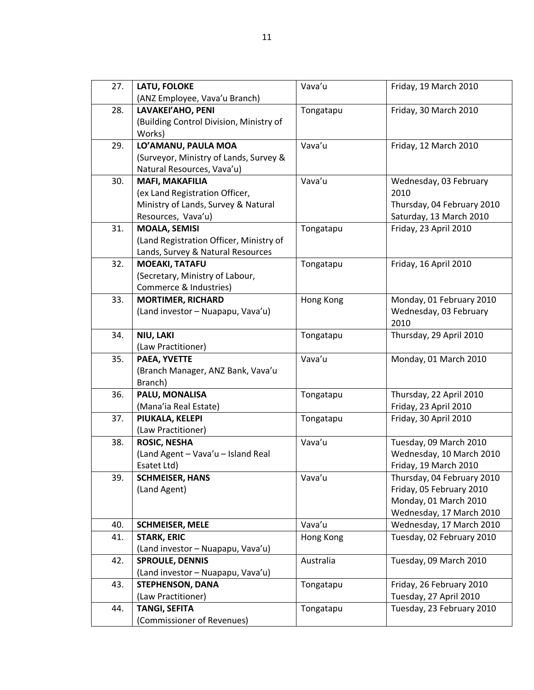| 27. | LATU, FOLOKE                            | Vava'u    | Friday, 19 March 2010      |
|-----|-----------------------------------------|-----------|----------------------------|
|     | (ANZ Employee, Vava'u Branch)           |           |                            |
| 28. | LAVAKEI'AHO, PENI                       | Tongatapu | Friday, 30 March 2010      |
|     | (Building Control Division, Ministry of |           |                            |
|     | Works)                                  |           |                            |
| 29. | LO'AMANU, PAULA MOA                     | Vava'u    | Friday, 12 March 2010      |
|     | (Surveyor, Ministry of Lands, Survey &  |           |                            |
|     | Natural Resources, Vava'u)              |           |                            |
| 30. | <b>MAFI, MAKAFILIA</b>                  | Vava'u    | Wednesday, 03 February     |
|     | (ex Land Registration Officer,          |           | 2010                       |
|     | Ministry of Lands, Survey & Natural     |           | Thursday, 04 February 2010 |
|     | Resources, Vava'u)                      |           | Saturday, 13 March 2010    |
| 31. | <b>MOALA, SEMISI</b>                    | Tongatapu | Friday, 23 April 2010      |
|     | (Land Registration Officer, Ministry of |           |                            |
|     | Lands, Survey & Natural Resources       |           |                            |
| 32. | <b>MOEAKI, TATAFU</b>                   | Tongatapu | Friday, 16 April 2010      |
|     | (Secretary, Ministry of Labour,         |           |                            |
|     | Commerce & Industries)                  |           |                            |
| 33. | <b>MORTIMER, RICHARD</b>                | Hong Kong | Monday, 01 February 2010   |
|     | (Land investor - Nuapapu, Vava'u)       |           | Wednesday, 03 February     |
|     |                                         |           | 2010                       |
| 34. | NIU, LAKI                               | Tongatapu | Thursday, 29 April 2010    |
|     | (Law Practitioner)                      |           |                            |
| 35. | PAEA, YVETTE                            | Vava'u    | Monday, 01 March 2010      |
|     | (Branch Manager, ANZ Bank, Vava'u       |           |                            |
|     | Branch)                                 |           |                            |
| 36. | PALU, MONALISA                          | Tongatapu | Thursday, 22 April 2010    |
|     | (Mana'ia Real Estate)                   |           | Friday, 23 April 2010      |
| 37. | PIUKALA, KELEPI                         | Tongatapu | Friday, 30 April 2010      |
|     | (Law Practitioner)                      |           |                            |
| 38. | <b>ROSIC, NESHA</b>                     | Vava'u    | Tuesday, 09 March 2010     |
|     | (Land Agent - Vava'u - Island Real      |           | Wednesday, 10 March 2010   |
|     | Esatet Ltd)                             |           | Friday, 19 March 2010      |
| 39. | <b>SCHMEISER, HANS</b>                  | Vava'u    | Thursday, 04 February 2010 |
|     | (Land Agent)                            |           | Friday, 05 February 2010   |
|     |                                         |           | Monday, 01 March 2010      |
|     |                                         |           | Wednesday, 17 March 2010   |
| 40. | <b>SCHMEISER, MELE</b>                  | Vava'u    | Wednesday, 17 March 2010   |
| 41. | <b>STARK, ERIC</b>                      | Hong Kong | Tuesday, 02 February 2010  |
|     | (Land investor - Nuapapu, Vava'u)       |           |                            |
| 42. | <b>SPROULE, DENNIS</b>                  | Australia | Tuesday, 09 March 2010     |
|     | (Land investor - Nuapapu, Vava'u)       |           |                            |
| 43. | <b>STEPHENSON, DANA</b>                 | Tongatapu | Friday, 26 February 2010   |
|     | (Law Practitioner)                      |           | Tuesday, 27 April 2010     |
| 44. | <b>TANGI, SEFITA</b>                    | Tongatapu | Tuesday, 23 February 2010  |
|     | (Commissioner of Revenues)              |           |                            |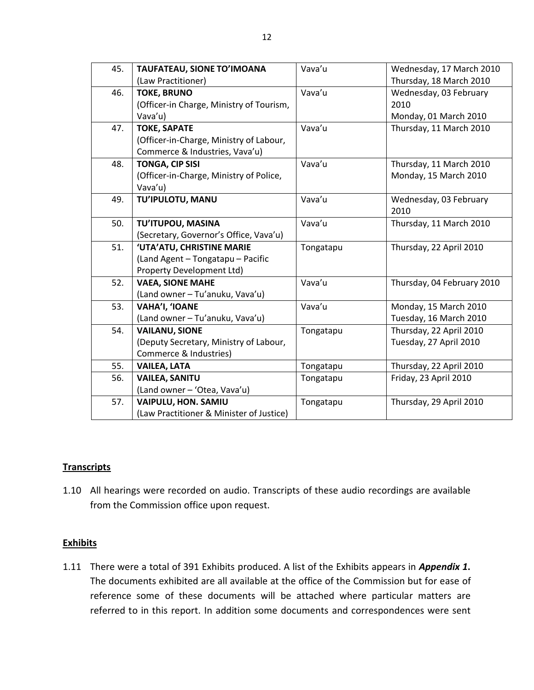| 45. | TAUFATEAU, SIONE TO'IMOANA               | Vava'u    | Wednesday, 17 March 2010   |
|-----|------------------------------------------|-----------|----------------------------|
|     | (Law Practitioner)                       |           | Thursday, 18 March 2010    |
| 46. | <b>TOKE, BRUNO</b>                       | Vava'u    | Wednesday, 03 February     |
|     | (Officer-in Charge, Ministry of Tourism, |           | 2010                       |
|     | Vava'u)                                  |           | Monday, 01 March 2010      |
| 47. | <b>TOKE, SAPATE</b>                      | Vava'u    | Thursday, 11 March 2010    |
|     | (Officer-in-Charge, Ministry of Labour,  |           |                            |
|     | Commerce & Industries, Vava'u)           |           |                            |
| 48. | <b>TONGA, CIP SISI</b>                   | Vava'u    | Thursday, 11 March 2010    |
|     | (Officer-in-Charge, Ministry of Police,  |           | Monday, 15 March 2010      |
|     | Vava'u)                                  |           |                            |
| 49. | TU'IPULOTU, MANU                         | Vava'u    | Wednesday, 03 February     |
|     |                                          |           | 2010                       |
| 50. | TU'ITUPOU, MASINA                        | Vava'u    | Thursday, 11 March 2010    |
|     | (Secretary, Governor's Office, Vava'u)   |           |                            |
| 51. | 'UTA'ATU, CHRISTINE MARIE                | Tongatapu | Thursday, 22 April 2010    |
|     | (Land Agent - Tongatapu - Pacific        |           |                            |
|     | Property Development Ltd)                |           |                            |
| 52. | <b>VAEA, SIONE MAHE</b>                  | Vava'u    | Thursday, 04 February 2010 |
|     | (Land owner - Tu'anuku, Vava'u)          |           |                            |
| 53. | VAHA'I, 'IOANE                           | Vava'u    | Monday, 15 March 2010      |
|     | (Land owner - Tu'anuku, Vava'u)          |           | Tuesday, 16 March 2010     |
| 54. | <b>VAILANU, SIONE</b>                    | Tongatapu | Thursday, 22 April 2010    |
|     | (Deputy Secretary, Ministry of Labour,   |           | Tuesday, 27 April 2010     |
|     | Commerce & Industries)                   |           |                            |
| 55. | <b>VAILEA, LATA</b>                      | Tongatapu | Thursday, 22 April 2010    |
| 56. | <b>VAILEA, SANITU</b>                    | Tongatapu | Friday, 23 April 2010      |
|     | (Land owner - 'Otea, Vava'u)             |           |                            |
| 57. | <b>VAIPULU, HON. SAMIU</b>               | Tongatapu | Thursday, 29 April 2010    |
|     | (Law Practitioner & Minister of Justice) |           |                            |

# **Transcripts**

1.10 All hearings were recorded on audio. Transcripts of these audio recordings are available from the Commission office upon request.

# **Exhibits**

1.11 There were a total of 391 Exhibits produced. A list of the Exhibits appears in *Appendix 1***.** The documents exhibited are all available at the office of the Commission but for ease of reference some of these documents will be attached where particular matters are referred to in this report. In addition some documents and correspondences were sent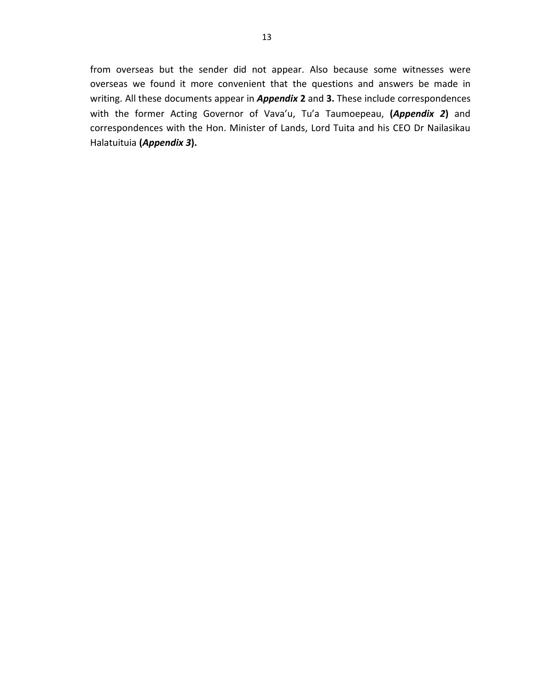from overseas but the sender did not appear. Also because some witnesses were overseas we found it more convenient that the questions and answers be made in writing. All these documents appear in *Appendix* **2** and **3.** These include correspondences with the former Acting Governor of Vava'u, Tu'a Taumoepeau, **(***Appendix 2***)** and correspondences with the Hon. Minister of Lands, Lord Tuita and his CEO Dr Nailasikau Halatuituia **(***Appendix 3***).**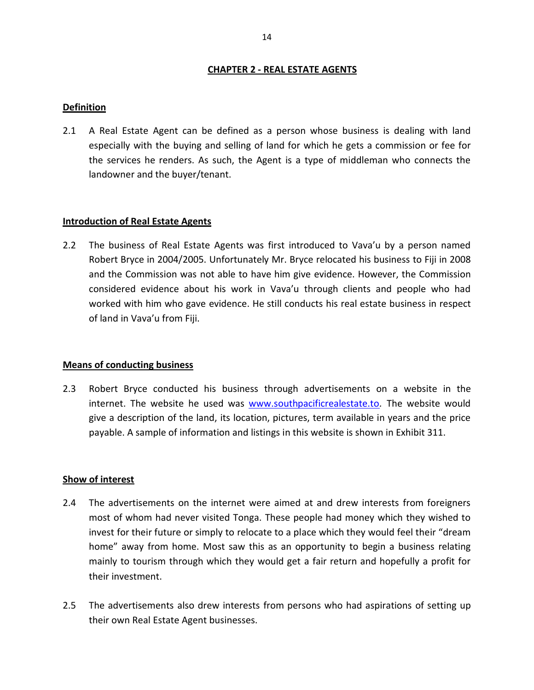# **CHAPTER 2 - REAL ESTATE AGENTS**

#### **Definition**

2.1 A Real Estate Agent can be defined as a person whose business is dealing with land especially with the buying and selling of land for which he gets a commission or fee for the services he renders. As such, the Agent is a type of middleman who connects the landowner and the buyer/tenant.

#### **Introduction of Real Estate Agents**

2.2 The business of Real Estate Agents was first introduced to Vava'u by a person named Robert Bryce in 2004/2005. Unfortunately Mr. Bryce relocated his business to Fiji in 2008 and the Commission was not able to have him give evidence. However, the Commission considered evidence about his work in Vava'u through clients and people who had worked with him who gave evidence. He still conducts his real estate business in respect of land in Vava'u from Fiji.

#### **Means of conducting business**

2.3 Robert Bryce conducted his business through advertisements on a website in the internet. The website he used was www.southpacificrealestate.to*.* The website would give a description of the land, its location, pictures, term available in years and the price payable. A sample of information and listings in this website is shown in Exhibit 311.

#### **Show of interest**

- 2.4 The advertisements on the internet were aimed at and drew interests from foreigners most of whom had never visited Tonga. These people had money which they wished to invest for their future or simply to relocate to a place which they would feel their "dream home" away from home. Most saw this as an opportunity to begin a business relating mainly to tourism through which they would get a fair return and hopefully a profit for their investment.
- 2.5 The advertisements also drew interests from persons who had aspirations of setting up their own Real Estate Agent businesses.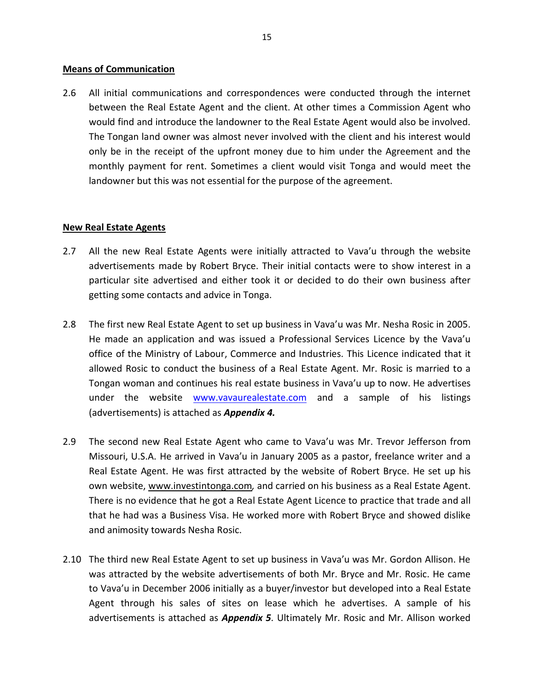#### **Means of Communication**

2.6 All initial communications and correspondences were conducted through the internet between the Real Estate Agent and the client. At other times a Commission Agent who would find and introduce the landowner to the Real Estate Agent would also be involved. The Tongan land owner was almost never involved with the client and his interest would only be in the receipt of the upfront money due to him under the Agreement and the monthly payment for rent. Sometimes a client would visit Tonga and would meet the landowner but this was not essential for the purpose of the agreement.

# **New Real Estate Agents**

- 2.7 All the new Real Estate Agents were initially attracted to Vava'u through the website advertisements made by Robert Bryce. Their initial contacts were to show interest in a particular site advertised and either took it or decided to do their own business after getting some contacts and advice in Tonga.
- 2.8 The first new Real Estate Agent to set up business in Vava'u was Mr. Nesha Rosic in 2005. He made an application and was issued a Professional Services Licence by the Vava'u office of the Ministry of Labour, Commerce and Industries. This Licence indicated that it allowed Rosic to conduct the business of a Real Estate Agent. Mr. Rosic is married to a Tongan woman and continues his real estate business in Vava'u up to now. He advertises under the website www.vavaurealestate.com and a sample of his listings (advertisements) is attached as *Appendix 4.*
- 2.9 The second new Real Estate Agent who came to Vava'u was Mr. Trevor Jefferson from Missouri, U.S.A. He arrived in Vava'u in January 2005 as a pastor, freelance writer and a Real Estate Agent. He was first attracted by the website of Robert Bryce. He set up his own website, www.investintonga.com*,* and carried on his business as a Real Estate Agent. There is no evidence that he got a Real Estate Agent Licence to practice that trade and all that he had was a Business Visa. He worked more with Robert Bryce and showed dislike and animosity towards Nesha Rosic.
- 2.10 The third new Real Estate Agent to set up business in Vava'u was Mr. Gordon Allison. He was attracted by the website advertisements of both Mr. Bryce and Mr. Rosic. He came to Vava'u in December 2006 initially as a buyer/investor but developed into a Real Estate Agent through his sales of sites on lease which he advertises. A sample of his advertisements is attached as *Appendix 5*. Ultimately Mr. Rosic and Mr. Allison worked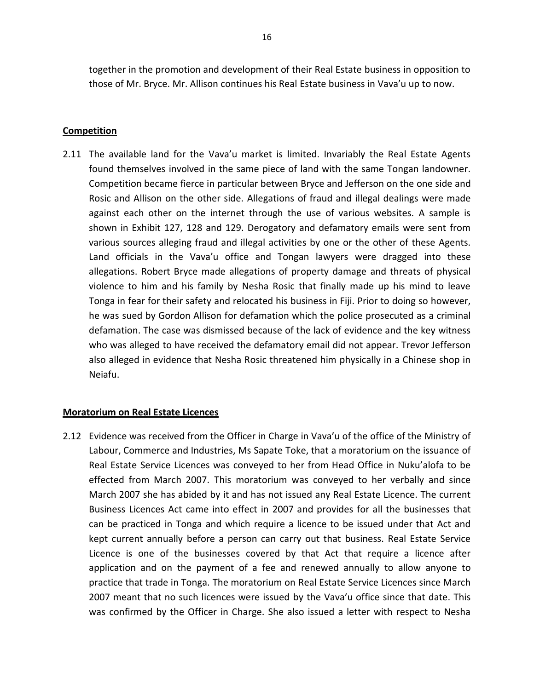together in the promotion and development of their Real Estate business in opposition to those of Mr. Bryce. Mr. Allison continues his Real Estate business in Vava'u up to now.

#### **Competition**

2.11 The available land for the Vava'u market is limited. Invariably the Real Estate Agents found themselves involved in the same piece of land with the same Tongan landowner. Competition became fierce in particular between Bryce and Jefferson on the one side and Rosic and Allison on the other side. Allegations of fraud and illegal dealings were made against each other on the internet through the use of various websites. A sample is shown in Exhibit 127, 128 and 129. Derogatory and defamatory emails were sent from various sources alleging fraud and illegal activities by one or the other of these Agents. Land officials in the Vava'u office and Tongan lawyers were dragged into these allegations. Robert Bryce made allegations of property damage and threats of physical violence to him and his family by Nesha Rosic that finally made up his mind to leave Tonga in fear for their safety and relocated his business in Fiji. Prior to doing so however, he was sued by Gordon Allison for defamation which the police prosecuted as a criminal defamation. The case was dismissed because of the lack of evidence and the key witness who was alleged to have received the defamatory email did not appear. Trevor Jefferson also alleged in evidence that Nesha Rosic threatened him physically in a Chinese shop in Neiafu.

# **Moratorium on Real Estate Licences**

2.12 Evidence was received from the Officer in Charge in Vava'u of the office of the Ministry of Labour, Commerce and Industries, Ms Sapate Toke, that a moratorium on the issuance of Real Estate Service Licences was conveyed to her from Head Office in Nuku'alofa to be effected from March 2007. This moratorium was conveyed to her verbally and since March 2007 she has abided by it and has not issued any Real Estate Licence. The current Business Licences Act came into effect in 2007 and provides for all the businesses that can be practiced in Tonga and which require a licence to be issued under that Act and kept current annually before a person can carry out that business. Real Estate Service Licence is one of the businesses covered by that Act that require a licence after application and on the payment of a fee and renewed annually to allow anyone to practice that trade in Tonga. The moratorium on Real Estate Service Licences since March 2007 meant that no such licences were issued by the Vava'u office since that date. This was confirmed by the Officer in Charge. She also issued a letter with respect to Nesha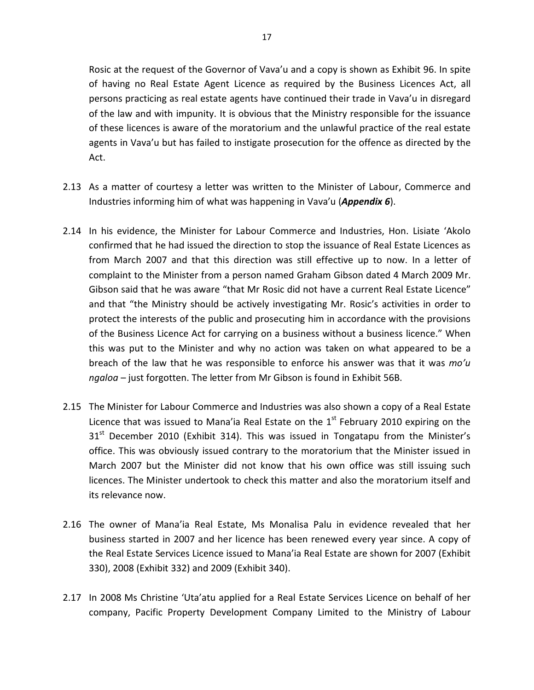Rosic at the request of the Governor of Vava'u and a copy is shown as Exhibit 96. In spite of having no Real Estate Agent Licence as required by the Business Licences Act, all persons practicing as real estate agents have continued their trade in Vava'u in disregard of the law and with impunity. It is obvious that the Ministry responsible for the issuance of these licences is aware of the moratorium and the unlawful practice of the real estate agents in Vava'u but has failed to instigate prosecution for the offence as directed by the Act.

- 2.13 As a matter of courtesy a letter was written to the Minister of Labour, Commerce and Industries informing him of what was happening in Vava'u (*Appendix 6*).
- 2.14 In his evidence, the Minister for Labour Commerce and Industries, Hon. Lisiate 'Akolo confirmed that he had issued the direction to stop the issuance of Real Estate Licences as from March 2007 and that this direction was still effective up to now. In a letter of complaint to the Minister from a person named Graham Gibson dated 4 March 2009 Mr. Gibson said that he was aware "that Mr Rosic did not have a current Real Estate Licence" and that "the Ministry should be actively investigating Mr. Rosic's activities in order to protect the interests of the public and prosecuting him in accordance with the provisions of the Business Licence Act for carrying on a business without a business licence." When this was put to the Minister and why no action was taken on what appeared to be a breach of the law that he was responsible to enforce his answer was that it was *mo'u ngaloa* – just forgotten. The letter from Mr Gibson is found in Exhibit 56B.
- 2.15 The Minister for Labour Commerce and Industries was also shown a copy of a Real Estate Licence that was issued to Mana'ia Real Estate on the  $1<sup>st</sup>$  February 2010 expiring on the  $31<sup>st</sup>$  December 2010 (Exhibit 314). This was issued in Tongatapu from the Minister's office. This was obviously issued contrary to the moratorium that the Minister issued in March 2007 but the Minister did not know that his own office was still issuing such licences. The Minister undertook to check this matter and also the moratorium itself and its relevance now.
- 2.16 The owner of Mana'ia Real Estate, Ms Monalisa Palu in evidence revealed that her business started in 2007 and her licence has been renewed every year since. A copy of the Real Estate Services Licence issued to Mana'ia Real Estate are shown for 2007 (Exhibit 330), 2008 (Exhibit 332) and 2009 (Exhibit 340).
- 2.17 In 2008 Ms Christine 'Uta'atu applied for a Real Estate Services Licence on behalf of her company, Pacific Property Development Company Limited to the Ministry of Labour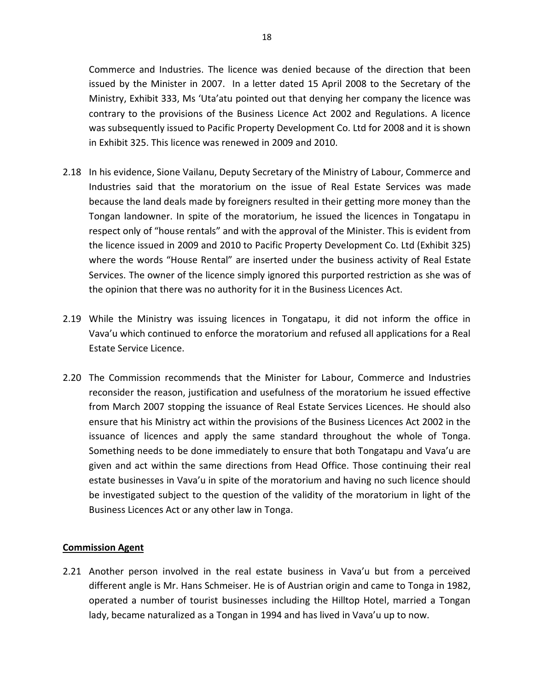Commerce and Industries. The licence was denied because of the direction that been issued by the Minister in 2007. In a letter dated 15 April 2008 to the Secretary of the Ministry, Exhibit 333, Ms 'Uta'atu pointed out that denying her company the licence was contrary to the provisions of the Business Licence Act 2002 and Regulations. A licence was subsequently issued to Pacific Property Development Co. Ltd for 2008 and it is shown in Exhibit 325. This licence was renewed in 2009 and 2010.

- 2.18 In his evidence, Sione Vailanu, Deputy Secretary of the Ministry of Labour, Commerce and Industries said that the moratorium on the issue of Real Estate Services was made because the land deals made by foreigners resulted in their getting more money than the Tongan landowner. In spite of the moratorium, he issued the licences in Tongatapu in respect only of "house rentals" and with the approval of the Minister. This is evident from the licence issued in 2009 and 2010 to Pacific Property Development Co. Ltd (Exhibit 325) where the words "House Rental" are inserted under the business activity of Real Estate Services. The owner of the licence simply ignored this purported restriction as she was of the opinion that there was no authority for it in the Business Licences Act.
- 2.19 While the Ministry was issuing licences in Tongatapu, it did not inform the office in Vava'u which continued to enforce the moratorium and refused all applications for a Real Estate Service Licence.
- 2.20 The Commission recommends that the Minister for Labour, Commerce and Industries reconsider the reason, justification and usefulness of the moratorium he issued effective from March 2007 stopping the issuance of Real Estate Services Licences. He should also ensure that his Ministry act within the provisions of the Business Licences Act 2002 in the issuance of licences and apply the same standard throughout the whole of Tonga. Something needs to be done immediately to ensure that both Tongatapu and Vava'u are given and act within the same directions from Head Office. Those continuing their real estate businesses in Vava'u in spite of the moratorium and having no such licence should be investigated subject to the question of the validity of the moratorium in light of the Business Licences Act or any other law in Tonga.

# **Commission Agent**

2.21 Another person involved in the real estate business in Vava'u but from a perceived different angle is Mr. Hans Schmeiser. He is of Austrian origin and came to Tonga in 1982, operated a number of tourist businesses including the Hilltop Hotel, married a Tongan lady, became naturalized as a Tongan in 1994 and has lived in Vava'u up to now.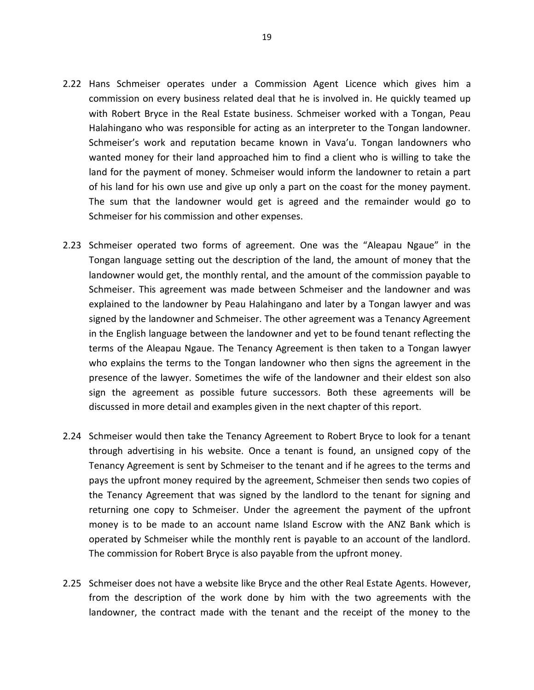- 2.22 Hans Schmeiser operates under a Commission Agent Licence which gives him a commission on every business related deal that he is involved in. He quickly teamed up with Robert Bryce in the Real Estate business. Schmeiser worked with a Tongan, Peau Halahingano who was responsible for acting as an interpreter to the Tongan landowner. Schmeiser's work and reputation became known in Vava'u. Tongan landowners who wanted money for their land approached him to find a client who is willing to take the land for the payment of money. Schmeiser would inform the landowner to retain a part of his land for his own use and give up only a part on the coast for the money payment. The sum that the landowner would get is agreed and the remainder would go to Schmeiser for his commission and other expenses.
- 2.23 Schmeiser operated two forms of agreement. One was the "Aleapau Ngaue" in the Tongan language setting out the description of the land, the amount of money that the landowner would get, the monthly rental, and the amount of the commission payable to Schmeiser. This agreement was made between Schmeiser and the landowner and was explained to the landowner by Peau Halahingano and later by a Tongan lawyer and was signed by the landowner and Schmeiser. The other agreement was a Tenancy Agreement in the English language between the landowner and yet to be found tenant reflecting the terms of the Aleapau Ngaue. The Tenancy Agreement is then taken to a Tongan lawyer who explains the terms to the Tongan landowner who then signs the agreement in the presence of the lawyer. Sometimes the wife of the landowner and their eldest son also sign the agreement as possible future successors. Both these agreements will be discussed in more detail and examples given in the next chapter of this report.
- 2.24 Schmeiser would then take the Tenancy Agreement to Robert Bryce to look for a tenant through advertising in his website. Once a tenant is found, an unsigned copy of the Tenancy Agreement is sent by Schmeiser to the tenant and if he agrees to the terms and pays the upfront money required by the agreement, Schmeiser then sends two copies of the Tenancy Agreement that was signed by the landlord to the tenant for signing and returning one copy to Schmeiser. Under the agreement the payment of the upfront money is to be made to an account name Island Escrow with the ANZ Bank which is operated by Schmeiser while the monthly rent is payable to an account of the landlord. The commission for Robert Bryce is also payable from the upfront money.
- 2.25 Schmeiser does not have a website like Bryce and the other Real Estate Agents. However, from the description of the work done by him with the two agreements with the landowner, the contract made with the tenant and the receipt of the money to the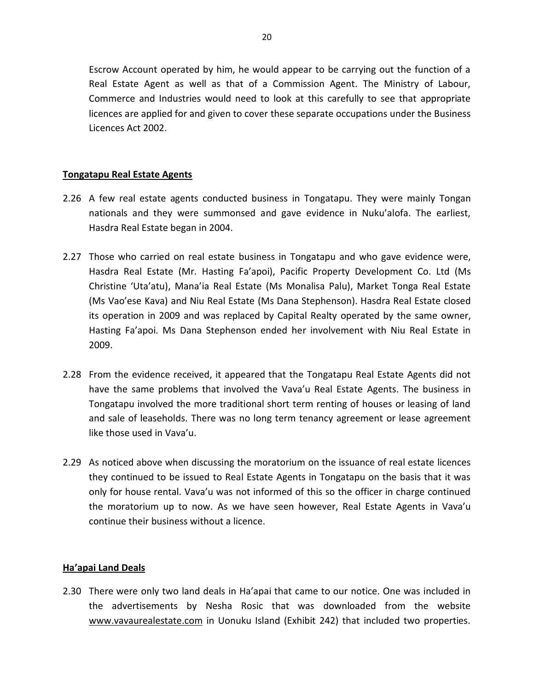Escrow Account operated by him, he would appear to be carrying out the function of a Real Estate Agent as well as that of a Commission Agent. The Ministry of Labour, Commerce and Industries would need to look at this carefully to see that appropriate licences are applied for and given to cover these separate occupations under the Business Licences Act 2002.

# **Tongatapu Real Estate Agents**

- 2.26 A few real estate agents conducted business in Tongatapu. They were mainly Tongan nationals and they were summonsed and gave evidence in Nuku'alofa. The earliest, Hasdra Real Estate began in 2004.
- 2.27 Those who carried on real estate business in Tongatapu and who gave evidence were, Hasdra Real Estate (Mr. Hasting Fa'apoi), Pacific Property Development Co. Ltd (Ms Christine 'Uta'atu), Mana'ia Real Estate (Ms Monalisa Palu), Market Tonga Real Estate (Ms Vao'ese Kava) and Niu Real Estate (Ms Dana Stephenson). Hasdra Real Estate closed its operation in 2009 and was replaced by Capital Realty operated by the same owner, Hasting Fa'apoi. Ms Dana Stephenson ended her involvement with Niu Real Estate in 2009.
- 2.28 From the evidence received, it appeared that the Tongatapu Real Estate Agents did not have the same problems that involved the Vava'u Real Estate Agents. The business in Tongatapu involved the more traditional short term renting of houses or leasing of land and sale of leaseholds. There was no long term tenancy agreement or lease agreement like those used in Vava'u.
- 2.29 As noticed above when discussing the moratorium on the issuance of real estate licences they continued to be issued to Real Estate Agents in Tongatapu on the basis that it was only for house rental. Vava'u was not informed of this so the officer in charge continued the moratorium up to now. As we have seen however, Real Estate Agents in Vava'u continue their business without a licence.

# **Ha'apai Land Deals**

2.30 There were only two land deals in Ha'apai that came to our notice. One was included in the advertisements by Nesha Rosic that was downloaded from the website www.vavaurealestate.com in Uonuku Island (Exhibit 242) that included two properties.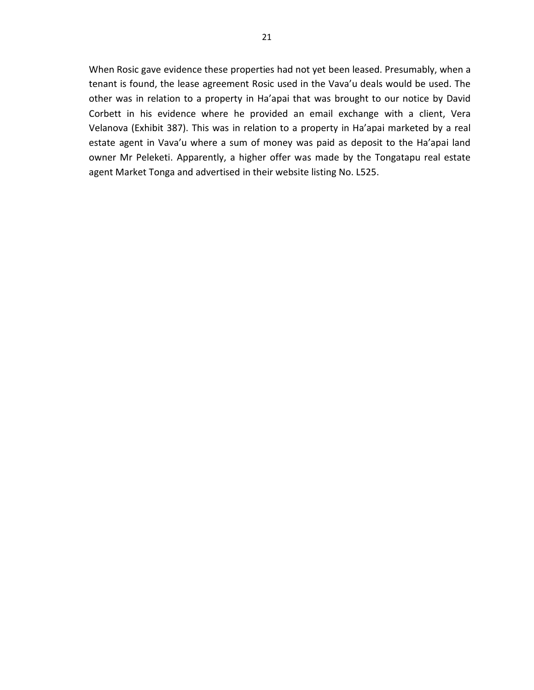When Rosic gave evidence these properties had not yet been leased. Presumably, when a tenant is found, the lease agreement Rosic used in the Vava'u deals would be used. The other was in relation to a property in Ha'apai that was brought to our notice by David Corbett in his evidence where he provided an email exchange with a client, Vera Velanova (Exhibit 387). This was in relation to a property in Ha'apai marketed by a real estate agent in Vava'u where a sum of money was paid as deposit to the Ha'apai land owner Mr Peleketi. Apparently, a higher offer was made by the Tongatapu real estate agent Market Tonga and advertised in their website listing No. L525.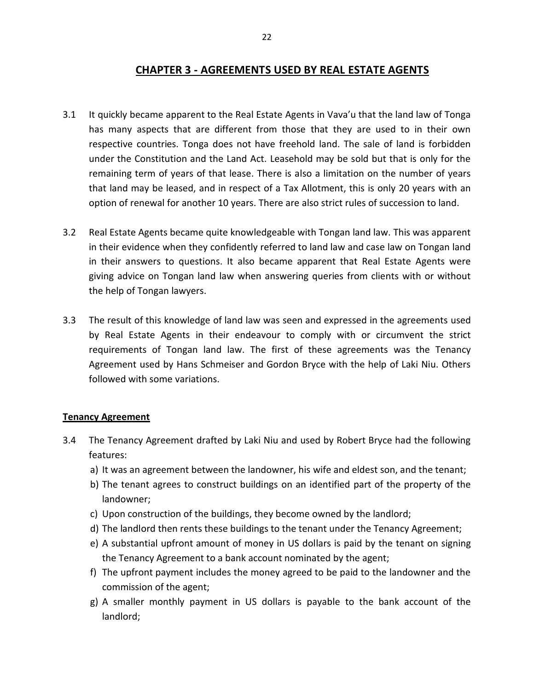# **CHAPTER 3 - AGREEMENTS USED BY REAL ESTATE AGENTS**

- 3.1 It quickly became apparent to the Real Estate Agents in Vava'u that the land law of Tonga has many aspects that are different from those that they are used to in their own respective countries. Tonga does not have freehold land. The sale of land is forbidden under the Constitution and the Land Act. Leasehold may be sold but that is only for the remaining term of years of that lease. There is also a limitation on the number of years that land may be leased, and in respect of a Tax Allotment, this is only 20 years with an option of renewal for another 10 years. There are also strict rules of succession to land.
- 3.2 Real Estate Agents became quite knowledgeable with Tongan land law. This was apparent in their evidence when they confidently referred to land law and case law on Tongan land in their answers to questions. It also became apparent that Real Estate Agents were giving advice on Tongan land law when answering queries from clients with or without the help of Tongan lawyers.
- 3.3 The result of this knowledge of land law was seen and expressed in the agreements used by Real Estate Agents in their endeavour to comply with or circumvent the strict requirements of Tongan land law. The first of these agreements was the Tenancy Agreement used by Hans Schmeiser and Gordon Bryce with the help of Laki Niu. Others followed with some variations.

# **Tenancy Agreement**

- 3.4 The Tenancy Agreement drafted by Laki Niu and used by Robert Bryce had the following features:
	- a) It was an agreement between the landowner, his wife and eldest son, and the tenant;
	- b) The tenant agrees to construct buildings on an identified part of the property of the landowner;
	- c) Upon construction of the buildings, they become owned by the landlord;
	- d) The landlord then rents these buildings to the tenant under the Tenancy Agreement;
	- e) A substantial upfront amount of money in US dollars is paid by the tenant on signing the Tenancy Agreement to a bank account nominated by the agent;
	- f) The upfront payment includes the money agreed to be paid to the landowner and the commission of the agent;
	- g) A smaller monthly payment in US dollars is payable to the bank account of the landlord;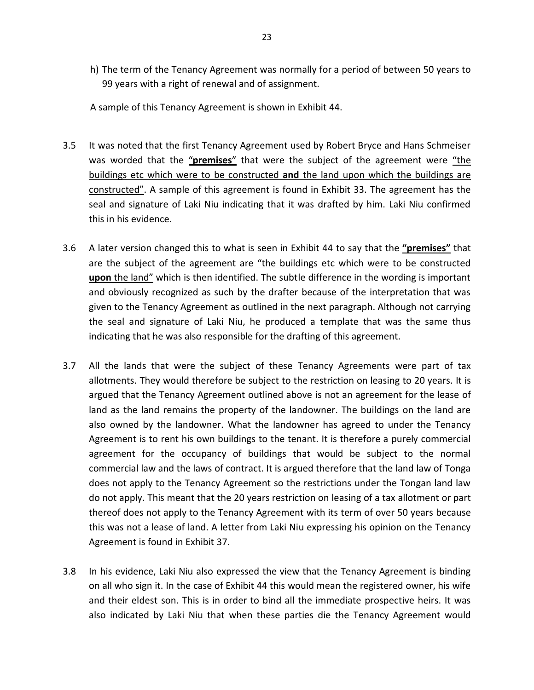h) The term of the Tenancy Agreement was normally for a period of between 50 years to 99 years with a right of renewal and of assignment.

A sample of this Tenancy Agreement is shown in Exhibit 44.

- 3.5 It was noted that the first Tenancy Agreement used by Robert Bryce and Hans Schmeiser was worded that the "**premises**" that were the subject of the agreement were "the buildings etc which were to be constructed **and** the land upon which the buildings are constructed". A sample of this agreement is found in Exhibit 33. The agreement has the seal and signature of Laki Niu indicating that it was drafted by him. Laki Niu confirmed this in his evidence.
- 3.6 A later version changed this to what is seen in Exhibit 44 to say that the **"premises"** that are the subject of the agreement are "the buildings etc which were to be constructed **upon** the land" which is then identified. The subtle difference in the wording is important and obviously recognized as such by the drafter because of the interpretation that was given to the Tenancy Agreement as outlined in the next paragraph. Although not carrying the seal and signature of Laki Niu, he produced a template that was the same thus indicating that he was also responsible for the drafting of this agreement.
- 3.7 All the lands that were the subject of these Tenancy Agreements were part of tax allotments. They would therefore be subject to the restriction on leasing to 20 years. It is argued that the Tenancy Agreement outlined above is not an agreement for the lease of land as the land remains the property of the landowner. The buildings on the land are also owned by the landowner. What the landowner has agreed to under the Tenancy Agreement is to rent his own buildings to the tenant. It is therefore a purely commercial agreement for the occupancy of buildings that would be subject to the normal commercial law and the laws of contract. It is argued therefore that the land law of Tonga does not apply to the Tenancy Agreement so the restrictions under the Tongan land law do not apply. This meant that the 20 years restriction on leasing of a tax allotment or part thereof does not apply to the Tenancy Agreement with its term of over 50 years because this was not a lease of land. A letter from Laki Niu expressing his opinion on the Tenancy Agreement is found in Exhibit 37.
- 3.8 In his evidence, Laki Niu also expressed the view that the Tenancy Agreement is binding on all who sign it. In the case of Exhibit 44 this would mean the registered owner, his wife and their eldest son. This is in order to bind all the immediate prospective heirs. It was also indicated by Laki Niu that when these parties die the Tenancy Agreement would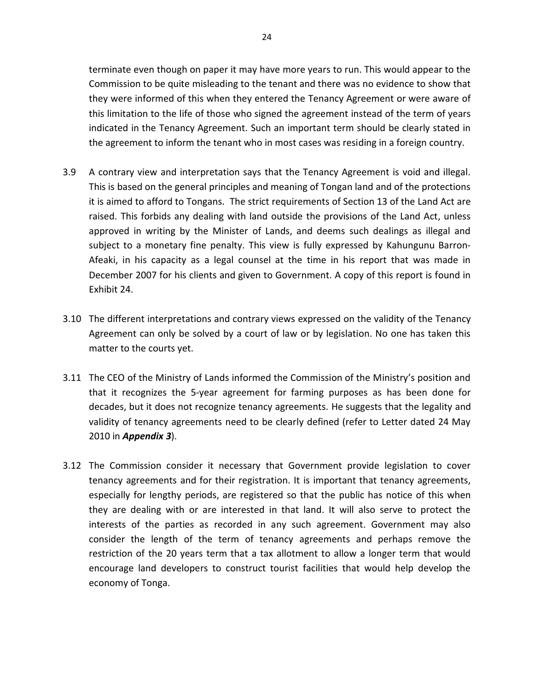terminate even though on paper it may have more years to run. This would appear to the Commission to be quite misleading to the tenant and there was no evidence to show that they were informed of this when they entered the Tenancy Agreement or were aware of this limitation to the life of those who signed the agreement instead of the term of years indicated in the Tenancy Agreement. Such an important term should be clearly stated in the agreement to inform the tenant who in most cases was residing in a foreign country.

- 3.9 A contrary view and interpretation says that the Tenancy Agreement is void and illegal. This is based on the general principles and meaning of Tongan land and of the protections it is aimed to afford to Tongans. The strict requirements of Section 13 of the Land Act are raised. This forbids any dealing with land outside the provisions of the Land Act, unless approved in writing by the Minister of Lands, and deems such dealings as illegal and subject to a monetary fine penalty. This view is fully expressed by Kahungunu Barron-Afeaki, in his capacity as a legal counsel at the time in his report that was made in December 2007 for his clients and given to Government. A copy of this report is found in Exhibit 24.
- 3.10 The different interpretations and contrary views expressed on the validity of the Tenancy Agreement can only be solved by a court of law or by legislation. No one has taken this matter to the courts yet.
- 3.11 The CEO of the Ministry of Lands informed the Commission of the Ministry's position and that it recognizes the 5-year agreement for farming purposes as has been done for decades, but it does not recognize tenancy agreements. He suggests that the legality and validity of tenancy agreements need to be clearly defined (refer to Letter dated 24 May 2010 in *Appendix 3*).
- 3.12 The Commission consider it necessary that Government provide legislation to cover tenancy agreements and for their registration. It is important that tenancy agreements, especially for lengthy periods, are registered so that the public has notice of this when they are dealing with or are interested in that land. It will also serve to protect the interests of the parties as recorded in any such agreement. Government may also consider the length of the term of tenancy agreements and perhaps remove the restriction of the 20 years term that a tax allotment to allow a longer term that would encourage land developers to construct tourist facilities that would help develop the economy of Tonga.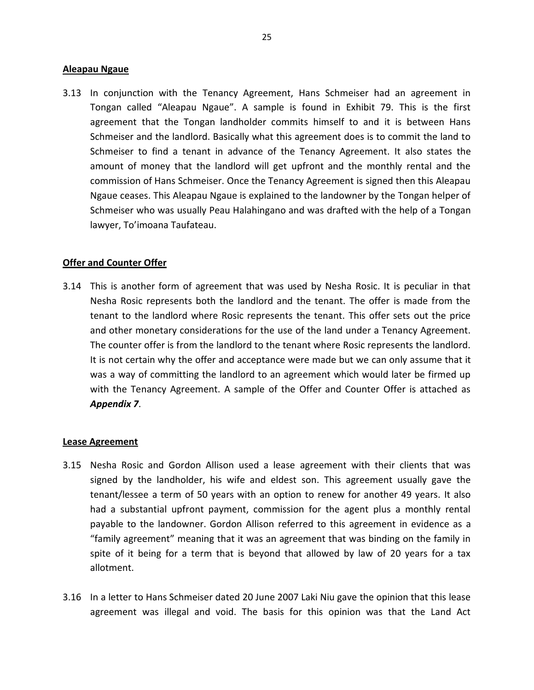#### **Aleapau Ngaue**

3.13 In conjunction with the Tenancy Agreement, Hans Schmeiser had an agreement in Tongan called "Aleapau Ngaue". A sample is found in Exhibit 79. This is the first agreement that the Tongan landholder commits himself to and it is between Hans Schmeiser and the landlord. Basically what this agreement does is to commit the land to Schmeiser to find a tenant in advance of the Tenancy Agreement. It also states the amount of money that the landlord will get upfront and the monthly rental and the commission of Hans Schmeiser. Once the Tenancy Agreement is signed then this Aleapau Ngaue ceases. This Aleapau Ngaue is explained to the landowner by the Tongan helper of Schmeiser who was usually Peau Halahingano and was drafted with the help of a Tongan lawyer, To'imoana Taufateau.

#### **Offer and Counter Offer**

3.14 This is another form of agreement that was used by Nesha Rosic. It is peculiar in that Nesha Rosic represents both the landlord and the tenant. The offer is made from the tenant to the landlord where Rosic represents the tenant. This offer sets out the price and other monetary considerations for the use of the land under a Tenancy Agreement. The counter offer is from the landlord to the tenant where Rosic represents the landlord. It is not certain why the offer and acceptance were made but we can only assume that it was a way of committing the landlord to an agreement which would later be firmed up with the Tenancy Agreement. A sample of the Offer and Counter Offer is attached as *Appendix 7*.

#### **Lease Agreement**

- 3.15 Nesha Rosic and Gordon Allison used a lease agreement with their clients that was signed by the landholder, his wife and eldest son. This agreement usually gave the tenant/lessee a term of 50 years with an option to renew for another 49 years. It also had a substantial upfront payment, commission for the agent plus a monthly rental payable to the landowner. Gordon Allison referred to this agreement in evidence as a "family agreement" meaning that it was an agreement that was binding on the family in spite of it being for a term that is beyond that allowed by law of 20 years for a tax allotment.
- 3.16 In a letter to Hans Schmeiser dated 20 June 2007 Laki Niu gave the opinion that this lease agreement was illegal and void. The basis for this opinion was that the Land Act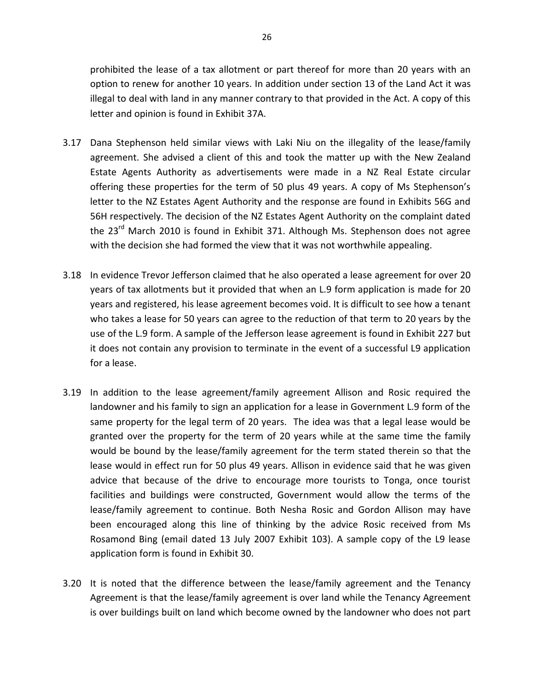prohibited the lease of a tax allotment or part thereof for more than 20 years with an option to renew for another 10 years. In addition under section 13 of the Land Act it was illegal to deal with land in any manner contrary to that provided in the Act. A copy of this letter and opinion is found in Exhibit 37A.

- 3.17 Dana Stephenson held similar views with Laki Niu on the illegality of the lease/family agreement. She advised a client of this and took the matter up with the New Zealand Estate Agents Authority as advertisements were made in a NZ Real Estate circular offering these properties for the term of 50 plus 49 years. A copy of Ms Stephenson's letter to the NZ Estates Agent Authority and the response are found in Exhibits 56G and 56H respectively. The decision of the NZ Estates Agent Authority on the complaint dated the 23<sup>rd</sup> March 2010 is found in Exhibit 371. Although Ms. Stephenson does not agree with the decision she had formed the view that it was not worthwhile appealing.
- 3.18 In evidence Trevor Jefferson claimed that he also operated a lease agreement for over 20 years of tax allotments but it provided that when an L.9 form application is made for 20 years and registered, his lease agreement becomes void. It is difficult to see how a tenant who takes a lease for 50 years can agree to the reduction of that term to 20 years by the use of the L.9 form. A sample of the Jefferson lease agreement is found in Exhibit 227 but it does not contain any provision to terminate in the event of a successful L9 application for a lease.
- 3.19 In addition to the lease agreement/family agreement Allison and Rosic required the landowner and his family to sign an application for a lease in Government L.9 form of the same property for the legal term of 20 years. The idea was that a legal lease would be granted over the property for the term of 20 years while at the same time the family would be bound by the lease/family agreement for the term stated therein so that the lease would in effect run for 50 plus 49 years. Allison in evidence said that he was given advice that because of the drive to encourage more tourists to Tonga, once tourist facilities and buildings were constructed, Government would allow the terms of the lease/family agreement to continue. Both Nesha Rosic and Gordon Allison may have been encouraged along this line of thinking by the advice Rosic received from Ms Rosamond Bing (email dated 13 July 2007 Exhibit 103). A sample copy of the L9 lease application form is found in Exhibit 30.
- 3.20 It is noted that the difference between the lease/family agreement and the Tenancy Agreement is that the lease/family agreement is over land while the Tenancy Agreement is over buildings built on land which become owned by the landowner who does not part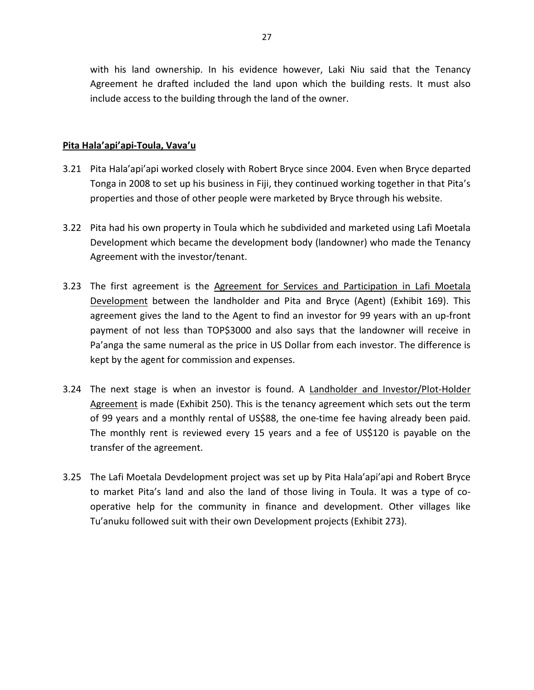with his land ownership. In his evidence however, Laki Niu said that the Tenancy Agreement he drafted included the land upon which the building rests. It must also include access to the building through the land of the owner.

# **Pita Hala'api'api-Toula, Vava'u**

- 3.21 Pita Hala'api'api worked closely with Robert Bryce since 2004. Even when Bryce departed Tonga in 2008 to set up his business in Fiji, they continued working together in that Pita's properties and those of other people were marketed by Bryce through his website.
- 3.22 Pita had his own property in Toula which he subdivided and marketed using Lafi Moetala Development which became the development body (landowner) who made the Tenancy Agreement with the investor/tenant.
- 3.23 The first agreement is the Agreement for Services and Participation in Lafi Moetala Development between the landholder and Pita and Bryce (Agent) (Exhibit 169). This agreement gives the land to the Agent to find an investor for 99 years with an up-front payment of not less than TOP\$3000 and also says that the landowner will receive in Pa'anga the same numeral as the price in US Dollar from each investor. The difference is kept by the agent for commission and expenses.
- 3.24 The next stage is when an investor is found. A Landholder and Investor/Plot-Holder Agreement is made (Exhibit 250). This is the tenancy agreement which sets out the term of 99 years and a monthly rental of US\$88, the one-time fee having already been paid. The monthly rent is reviewed every 15 years and a fee of US\$120 is payable on the transfer of the agreement.
- 3.25 The Lafi Moetala Devdelopment project was set up by Pita Hala'api'api and Robert Bryce to market Pita's land and also the land of those living in Toula. It was a type of cooperative help for the community in finance and development. Other villages like Tu'anuku followed suit with their own Development projects (Exhibit 273).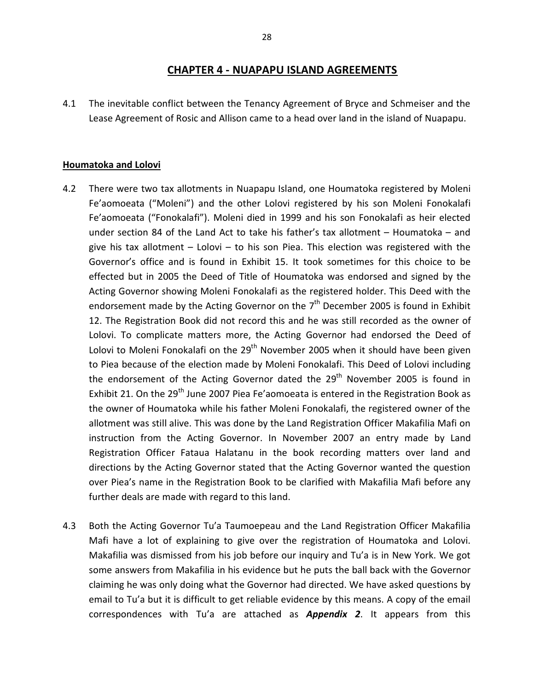# **CHAPTER 4 - NUAPAPU ISLAND AGREEMENTS**

4.1 The inevitable conflict between the Tenancy Agreement of Bryce and Schmeiser and the Lease Agreement of Rosic and Allison came to a head over land in the island of Nuapapu.

#### **Houmatoka and Lolovi**

- 4.2 There were two tax allotments in Nuapapu Island, one Houmatoka registered by Moleni Fe'aomoeata ("Moleni") and the other Lolovi registered by his son Moleni Fonokalafi Fe'aomoeata ("Fonokalafi"). Moleni died in 1999 and his son Fonokalafi as heir elected under section 84 of the Land Act to take his father's tax allotment – Houmatoka – and give his tax allotment – Lolovi – to his son Piea. This election was registered with the Governor's office and is found in Exhibit 15. It took sometimes for this choice to be effected but in 2005 the Deed of Title of Houmatoka was endorsed and signed by the Acting Governor showing Moleni Fonokalafi as the registered holder. This Deed with the endorsement made by the Acting Governor on the  $7<sup>th</sup>$  December 2005 is found in Exhibit 12. The Registration Book did not record this and he was still recorded as the owner of Lolovi. To complicate matters more, the Acting Governor had endorsed the Deed of Lolovi to Moleni Fonokalafi on the  $29<sup>th</sup>$  November 2005 when it should have been given to Piea because of the election made by Moleni Fonokalafi. This Deed of Lolovi including the endorsement of the Acting Governor dated the  $29<sup>th</sup>$  November 2005 is found in Exhibit 21. On the 29<sup>th</sup> June 2007 Piea Fe'aomoeata is entered in the Registration Book as the owner of Houmatoka while his father Moleni Fonokalafi, the registered owner of the allotment was still alive. This was done by the Land Registration Officer Makafilia Mafi on instruction from the Acting Governor. In November 2007 an entry made by Land Registration Officer Fataua Halatanu in the book recording matters over land and directions by the Acting Governor stated that the Acting Governor wanted the question over Piea's name in the Registration Book to be clarified with Makafilia Mafi before any further deals are made with regard to this land.
- 4.3 Both the Acting Governor Tu'a Taumoepeau and the Land Registration Officer Makafilia Mafi have a lot of explaining to give over the registration of Houmatoka and Lolovi. Makafilia was dismissed from his job before our inquiry and Tu'a is in New York. We got some answers from Makafilia in his evidence but he puts the ball back with the Governor claiming he was only doing what the Governor had directed. We have asked questions by email to Tu'a but it is difficult to get reliable evidence by this means. A copy of the email correspondences with Tu'a are attached as *Appendix 2*. It appears from this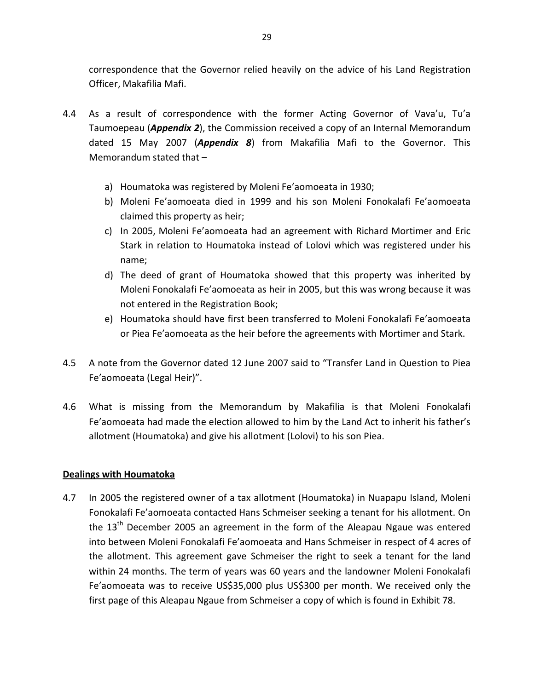correspondence that the Governor relied heavily on the advice of his Land Registration Officer, Makafilia Mafi.

- 4.4 As a result of correspondence with the former Acting Governor of Vava'u, Tu'a Taumoepeau (*Appendix 2*), the Commission received a copy of an Internal Memorandum dated 15 May 2007 (*Appendix 8*) from Makafilia Mafi to the Governor. This Memorandum stated that –
	- a) Houmatoka was registered by Moleni Fe'aomoeata in 1930;
	- b) Moleni Fe'aomoeata died in 1999 and his son Moleni Fonokalafi Fe'aomoeata claimed this property as heir;
	- c) In 2005, Moleni Fe'aomoeata had an agreement with Richard Mortimer and Eric Stark in relation to Houmatoka instead of Lolovi which was registered under his name;
	- d) The deed of grant of Houmatoka showed that this property was inherited by Moleni Fonokalafi Fe'aomoeata as heir in 2005, but this was wrong because it was not entered in the Registration Book;
	- e) Houmatoka should have first been transferred to Moleni Fonokalafi Fe'aomoeata or Piea Fe'aomoeata as the heir before the agreements with Mortimer and Stark.
- 4.5 A note from the Governor dated 12 June 2007 said to "Transfer Land in Question to Piea Fe'aomoeata (Legal Heir)".
- 4.6 What is missing from the Memorandum by Makafilia is that Moleni Fonokalafi Fe'aomoeata had made the election allowed to him by the Land Act to inherit his father's allotment (Houmatoka) and give his allotment (Lolovi) to his son Piea.

# **Dealings with Houmatoka**

4.7 In 2005 the registered owner of a tax allotment (Houmatoka) in Nuapapu Island, Moleni Fonokalafi Fe'aomoeata contacted Hans Schmeiser seeking a tenant for his allotment. On the  $13<sup>th</sup>$  December 2005 an agreement in the form of the Aleapau Ngaue was entered into between Moleni Fonokalafi Fe'aomoeata and Hans Schmeiser in respect of 4 acres of the allotment. This agreement gave Schmeiser the right to seek a tenant for the land within 24 months. The term of years was 60 years and the landowner Moleni Fonokalafi Fe'aomoeata was to receive US\$35,000 plus US\$300 per month. We received only the first page of this Aleapau Ngaue from Schmeiser a copy of which is found in Exhibit 78.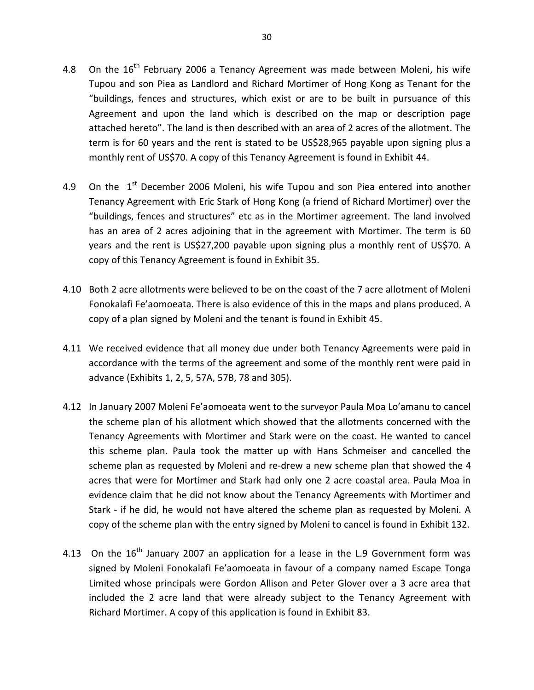- 4.8 On the  $16<sup>th</sup>$  February 2006 a Tenancy Agreement was made between Moleni, his wife Tupou and son Piea as Landlord and Richard Mortimer of Hong Kong as Tenant for the "buildings, fences and structures, which exist or are to be built in pursuance of this Agreement and upon the land which is described on the map or description page attached hereto". The land is then described with an area of 2 acres of the allotment. The term is for 60 years and the rent is stated to be US\$28,965 payable upon signing plus a monthly rent of US\$70. A copy of this Tenancy Agreement is found in Exhibit 44.
- 4.9 On the  $1<sup>st</sup>$  December 2006 Moleni, his wife Tupou and son Piea entered into another Tenancy Agreement with Eric Stark of Hong Kong (a friend of Richard Mortimer) over the "buildings, fences and structures" etc as in the Mortimer agreement. The land involved has an area of 2 acres adjoining that in the agreement with Mortimer. The term is 60 years and the rent is US\$27,200 payable upon signing plus a monthly rent of US\$70. A copy of this Tenancy Agreement is found in Exhibit 35.
- 4.10 Both 2 acre allotments were believed to be on the coast of the 7 acre allotment of Moleni Fonokalafi Fe'aomoeata. There is also evidence of this in the maps and plans produced. A copy of a plan signed by Moleni and the tenant is found in Exhibit 45.
- 4.11 We received evidence that all money due under both Tenancy Agreements were paid in accordance with the terms of the agreement and some of the monthly rent were paid in advance (Exhibits 1, 2, 5, 57A, 57B, 78 and 305).
- 4.12 In January 2007 Moleni Fe'aomoeata went to the surveyor Paula Moa Lo'amanu to cancel the scheme plan of his allotment which showed that the allotments concerned with the Tenancy Agreements with Mortimer and Stark were on the coast. He wanted to cancel this scheme plan. Paula took the matter up with Hans Schmeiser and cancelled the scheme plan as requested by Moleni and re-drew a new scheme plan that showed the 4 acres that were for Mortimer and Stark had only one 2 acre coastal area. Paula Moa in evidence claim that he did not know about the Tenancy Agreements with Mortimer and Stark - if he did, he would not have altered the scheme plan as requested by Moleni. A copy of the scheme plan with the entry signed by Moleni to cancel is found in Exhibit 132.
- 4.13 On the  $16<sup>th</sup>$  January 2007 an application for a lease in the L.9 Government form was signed by Moleni Fonokalafi Fe'aomoeata in favour of a company named Escape Tonga Limited whose principals were Gordon Allison and Peter Glover over a 3 acre area that included the 2 acre land that were already subject to the Tenancy Agreement with Richard Mortimer. A copy of this application is found in Exhibit 83.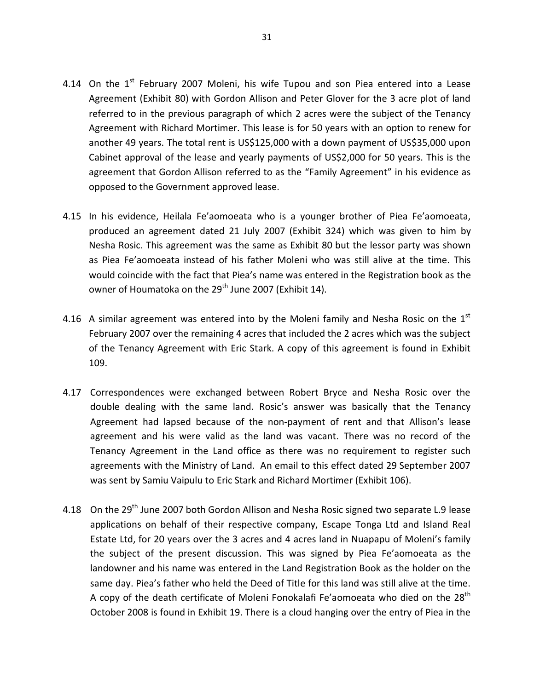- 4.14 On the  $1<sup>st</sup>$  February 2007 Moleni, his wife Tupou and son Piea entered into a Lease Agreement (Exhibit 80) with Gordon Allison and Peter Glover for the 3 acre plot of land referred to in the previous paragraph of which 2 acres were the subject of the Tenancy Agreement with Richard Mortimer. This lease is for 50 years with an option to renew for another 49 years. The total rent is US\$125,000 with a down payment of US\$35,000 upon Cabinet approval of the lease and yearly payments of US\$2,000 for 50 years. This is the agreement that Gordon Allison referred to as the "Family Agreement" in his evidence as opposed to the Government approved lease.
- 4.15 In his evidence, Heilala Fe'aomoeata who is a younger brother of Piea Fe'aomoeata, produced an agreement dated 21 July 2007 (Exhibit 324) which was given to him by Nesha Rosic. This agreement was the same as Exhibit 80 but the lessor party was shown as Piea Fe'aomoeata instead of his father Moleni who was still alive at the time. This would coincide with the fact that Piea's name was entered in the Registration book as the owner of Houmatoka on the 29<sup>th</sup> June 2007 (Exhibit 14).
- 4.16 A similar agreement was entered into by the Moleni family and Nesha Rosic on the  $1<sup>st</sup>$ February 2007 over the remaining 4 acres that included the 2 acres which was the subject of the Tenancy Agreement with Eric Stark. A copy of this agreement is found in Exhibit 109.
- 4.17 Correspondences were exchanged between Robert Bryce and Nesha Rosic over the double dealing with the same land. Rosic's answer was basically that the Tenancy Agreement had lapsed because of the non-payment of rent and that Allison's lease agreement and his were valid as the land was vacant. There was no record of the Tenancy Agreement in the Land office as there was no requirement to register such agreements with the Ministry of Land. An email to this effect dated 29 September 2007 was sent by Samiu Vaipulu to Eric Stark and Richard Mortimer (Exhibit 106).
- 4.18 On the 29<sup>th</sup> June 2007 both Gordon Allison and Nesha Rosic signed two separate L.9 lease applications on behalf of their respective company, Escape Tonga Ltd and Island Real Estate Ltd, for 20 years over the 3 acres and 4 acres land in Nuapapu of Moleni's family the subject of the present discussion. This was signed by Piea Fe'aomoeata as the landowner and his name was entered in the Land Registration Book as the holder on the same day. Piea's father who held the Deed of Title for this land was still alive at the time. A copy of the death certificate of Moleni Fonokalafi Fe'aomoeata who died on the  $28<sup>th</sup>$ October 2008 is found in Exhibit 19. There is a cloud hanging over the entry of Piea in the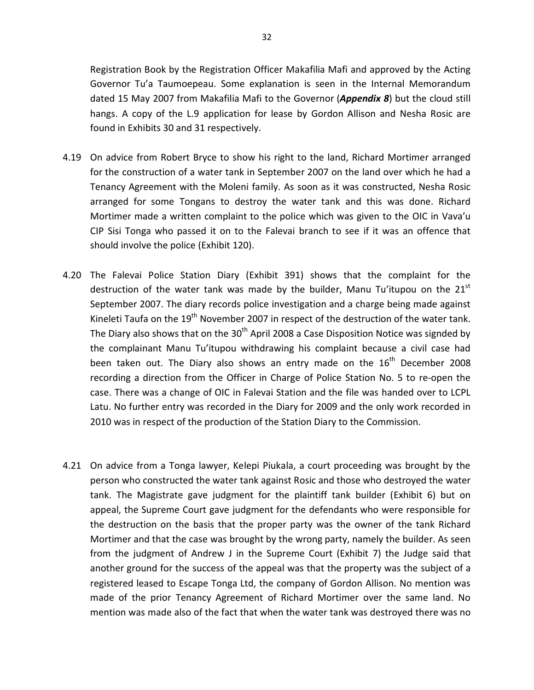Registration Book by the Registration Officer Makafilia Mafi and approved by the Acting Governor Tu'a Taumoepeau. Some explanation is seen in the Internal Memorandum dated 15 May 2007 from Makafilia Mafi to the Governor (*Appendix 8*) but the cloud still hangs. A copy of the L.9 application for lease by Gordon Allison and Nesha Rosic are found in Exhibits 30 and 31 respectively.

- 4.19 On advice from Robert Bryce to show his right to the land, Richard Mortimer arranged for the construction of a water tank in September 2007 on the land over which he had a Tenancy Agreement with the Moleni family. As soon as it was constructed, Nesha Rosic arranged for some Tongans to destroy the water tank and this was done. Richard Mortimer made a written complaint to the police which was given to the OIC in Vava'u CIP Sisi Tonga who passed it on to the Falevai branch to see if it was an offence that should involve the police (Exhibit 120).
- 4.20 The Falevai Police Station Diary (Exhibit 391) shows that the complaint for the destruction of the water tank was made by the builder, Manu Tu'itupou on the  $21<sup>st</sup>$ September 2007. The diary records police investigation and a charge being made against Kineleti Taufa on the  $19<sup>th</sup>$  November 2007 in respect of the destruction of the water tank. The Diary also shows that on the  $30<sup>th</sup>$  April 2008 a Case Disposition Notice was signded by the complainant Manu Tu'itupou withdrawing his complaint because a civil case had been taken out. The Diary also shows an entry made on the  $16<sup>th</sup>$  December 2008 recording a direction from the Officer in Charge of Police Station No. 5 to re-open the case. There was a change of OIC in Falevai Station and the file was handed over to LCPL Latu. No further entry was recorded in the Diary for 2009 and the only work recorded in 2010 was in respect of the production of the Station Diary to the Commission.
- 4.21 On advice from a Tonga lawyer, Kelepi Piukala, a court proceeding was brought by the person who constructed the water tank against Rosic and those who destroyed the water tank. The Magistrate gave judgment for the plaintiff tank builder (Exhibit 6) but on appeal, the Supreme Court gave judgment for the defendants who were responsible for the destruction on the basis that the proper party was the owner of the tank Richard Mortimer and that the case was brought by the wrong party, namely the builder. As seen from the judgment of Andrew J in the Supreme Court (Exhibit 7) the Judge said that another ground for the success of the appeal was that the property was the subject of a registered leased to Escape Tonga Ltd, the company of Gordon Allison. No mention was made of the prior Tenancy Agreement of Richard Mortimer over the same land. No mention was made also of the fact that when the water tank was destroyed there was no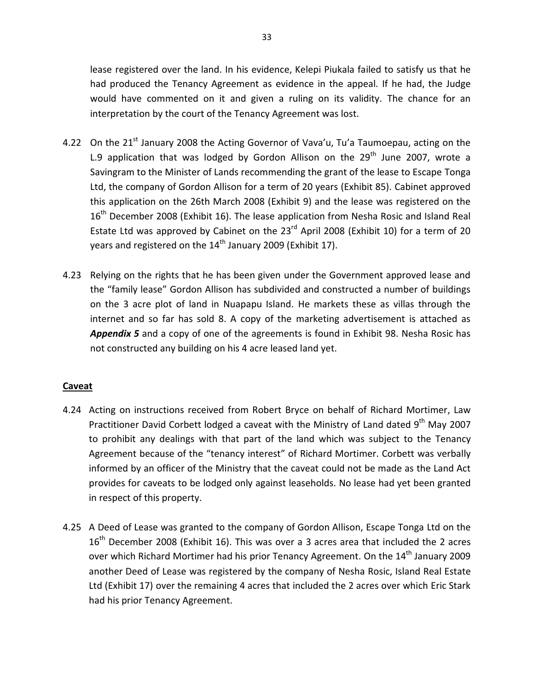lease registered over the land. In his evidence, Kelepi Piukala failed to satisfy us that he had produced the Tenancy Agreement as evidence in the appeal. If he had, the Judge would have commented on it and given a ruling on its validity. The chance for an interpretation by the court of the Tenancy Agreement was lost.

- 4.22 On the 21<sup>st</sup> January 2008 the Acting Governor of Vava'u, Tu'a Taumoepau, acting on the L.9 application that was lodged by Gordon Allison on the  $29<sup>th</sup>$  June 2007, wrote a Savingram to the Minister of Lands recommending the grant of the lease to Escape Tonga Ltd, the company of Gordon Allison for a term of 20 years (Exhibit 85). Cabinet approved this application on the 26th March 2008 (Exhibit 9) and the lease was registered on the  $16<sup>th</sup>$  December 2008 (Exhibit 16). The lease application from Nesha Rosic and Island Real Estate Ltd was approved by Cabinet on the  $23<sup>rd</sup>$  April 2008 (Exhibit 10) for a term of 20 years and registered on the  $14<sup>th</sup>$  January 2009 (Exhibit 17).
- 4.23 Relying on the rights that he has been given under the Government approved lease and the "family lease" Gordon Allison has subdivided and constructed a number of buildings on the 3 acre plot of land in Nuapapu Island. He markets these as villas through the internet and so far has sold 8. A copy of the marketing advertisement is attached as *Appendix 5* and a copy of one of the agreements is found in Exhibit 98. Nesha Rosic has not constructed any building on his 4 acre leased land yet.

# **Caveat**

- 4.24 Acting on instructions received from Robert Bryce on behalf of Richard Mortimer, Law Practitioner David Corbett lodged a caveat with the Ministry of Land dated 9<sup>th</sup> May 2007 to prohibit any dealings with that part of the land which was subject to the Tenancy Agreement because of the "tenancy interest" of Richard Mortimer. Corbett was verbally informed by an officer of the Ministry that the caveat could not be made as the Land Act provides for caveats to be lodged only against leaseholds. No lease had yet been granted in respect of this property.
- 4.25 A Deed of Lease was granted to the company of Gordon Allison, Escape Tonga Ltd on the  $16<sup>th</sup>$  December 2008 (Exhibit 16). This was over a 3 acres area that included the 2 acres over which Richard Mortimer had his prior Tenancy Agreement. On the 14<sup>th</sup> January 2009 another Deed of Lease was registered by the company of Nesha Rosic, Island Real Estate Ltd (Exhibit 17) over the remaining 4 acres that included the 2 acres over which Eric Stark had his prior Tenancy Agreement.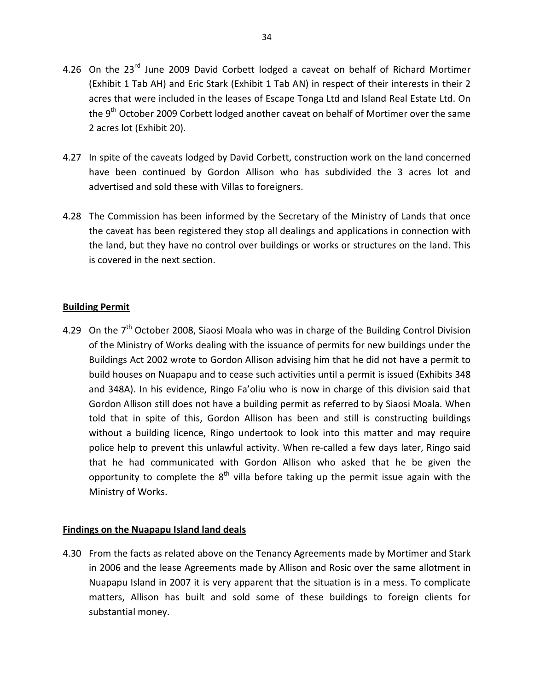- 4.26 On the 23<sup>rd</sup> June 2009 David Corbett lodged a caveat on behalf of Richard Mortimer (Exhibit 1 Tab AH) and Eric Stark (Exhibit 1 Tab AN) in respect of their interests in their 2 acres that were included in the leases of Escape Tonga Ltd and Island Real Estate Ltd. On the 9<sup>th</sup> October 2009 Corbett lodged another caveat on behalf of Mortimer over the same 2 acres lot (Exhibit 20).
- 4.27 In spite of the caveats lodged by David Corbett, construction work on the land concerned have been continued by Gordon Allison who has subdivided the 3 acres lot and advertised and sold these with Villas to foreigners.
- 4.28 The Commission has been informed by the Secretary of the Ministry of Lands that once the caveat has been registered they stop all dealings and applications in connection with the land, but they have no control over buildings or works or structures on the land. This is covered in the next section.

# **Building Permit**

4.29 On the 7<sup>th</sup> October 2008, Siaosi Moala who was in charge of the Building Control Division of the Ministry of Works dealing with the issuance of permits for new buildings under the Buildings Act 2002 wrote to Gordon Allison advising him that he did not have a permit to build houses on Nuapapu and to cease such activities until a permit is issued (Exhibits 348 and 348A). In his evidence, Ringo Fa'oliu who is now in charge of this division said that Gordon Allison still does not have a building permit as referred to by Siaosi Moala. When told that in spite of this, Gordon Allison has been and still is constructing buildings without a building licence, Ringo undertook to look into this matter and may require police help to prevent this unlawful activity. When re-called a few days later, Ringo said that he had communicated with Gordon Allison who asked that he be given the opportunity to complete the  $8<sup>th</sup>$  villa before taking up the permit issue again with the Ministry of Works.

# **Findings on the Nuapapu Island land deals**

4.30 From the facts as related above on the Tenancy Agreements made by Mortimer and Stark in 2006 and the lease Agreements made by Allison and Rosic over the same allotment in Nuapapu Island in 2007 it is very apparent that the situation is in a mess. To complicate matters, Allison has built and sold some of these buildings to foreign clients for substantial money.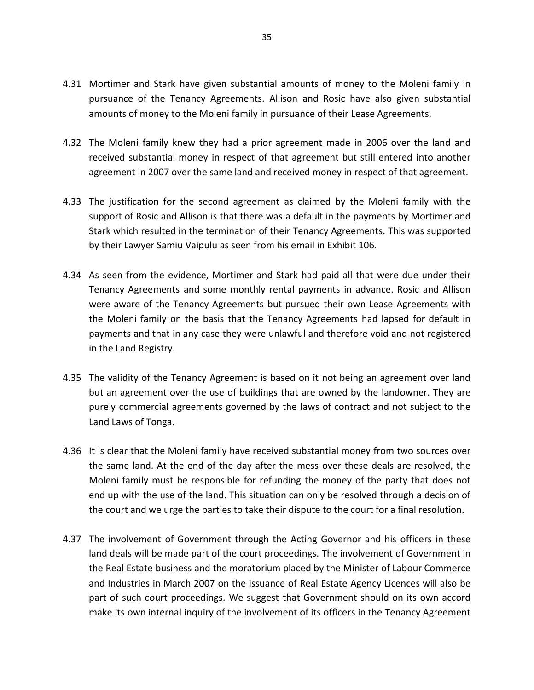- 4.31 Mortimer and Stark have given substantial amounts of money to the Moleni family in pursuance of the Tenancy Agreements. Allison and Rosic have also given substantial amounts of money to the Moleni family in pursuance of their Lease Agreements.
- 4.32 The Moleni family knew they had a prior agreement made in 2006 over the land and received substantial money in respect of that agreement but still entered into another agreement in 2007 over the same land and received money in respect of that agreement.
- 4.33 The justification for the second agreement as claimed by the Moleni family with the support of Rosic and Allison is that there was a default in the payments by Mortimer and Stark which resulted in the termination of their Tenancy Agreements. This was supported by their Lawyer Samiu Vaipulu as seen from his email in Exhibit 106.
- 4.34 As seen from the evidence, Mortimer and Stark had paid all that were due under their Tenancy Agreements and some monthly rental payments in advance. Rosic and Allison were aware of the Tenancy Agreements but pursued their own Lease Agreements with the Moleni family on the basis that the Tenancy Agreements had lapsed for default in payments and that in any case they were unlawful and therefore void and not registered in the Land Registry.
- 4.35 The validity of the Tenancy Agreement is based on it not being an agreement over land but an agreement over the use of buildings that are owned by the landowner. They are purely commercial agreements governed by the laws of contract and not subject to the Land Laws of Tonga.
- 4.36 It is clear that the Moleni family have received substantial money from two sources over the same land. At the end of the day after the mess over these deals are resolved, the Moleni family must be responsible for refunding the money of the party that does not end up with the use of the land. This situation can only be resolved through a decision of the court and we urge the parties to take their dispute to the court for a final resolution.
- 4.37 The involvement of Government through the Acting Governor and his officers in these land deals will be made part of the court proceedings. The involvement of Government in the Real Estate business and the moratorium placed by the Minister of Labour Commerce and Industries in March 2007 on the issuance of Real Estate Agency Licences will also be part of such court proceedings. We suggest that Government should on its own accord make its own internal inquiry of the involvement of its officers in the Tenancy Agreement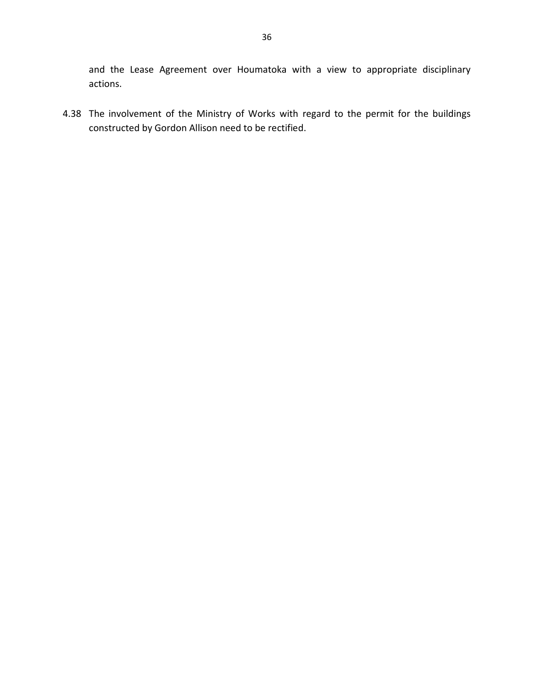and the Lease Agreement over Houmatoka with a view to appropriate disciplinary actions.

4.38 The involvement of the Ministry of Works with regard to the permit for the buildings constructed by Gordon Allison need to be rectified.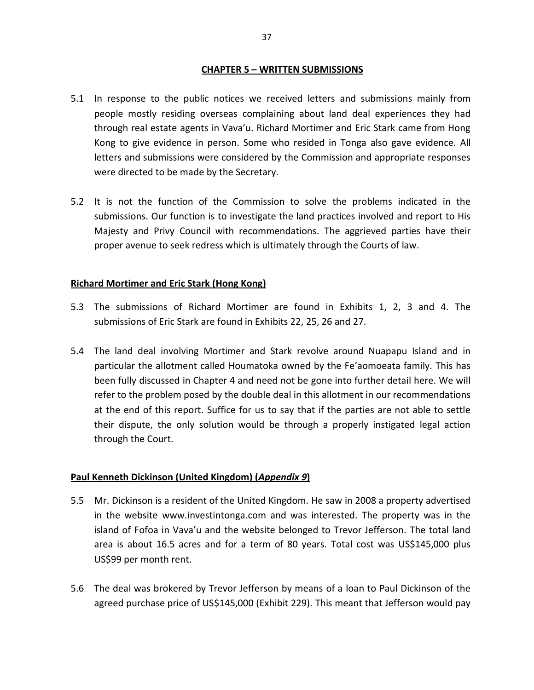#### **CHAPTER 5 – WRITTEN SUBMISSIONS**

- 5.1 In response to the public notices we received letters and submissions mainly from people mostly residing overseas complaining about land deal experiences they had through real estate agents in Vava'u. Richard Mortimer and Eric Stark came from Hong Kong to give evidence in person. Some who resided in Tonga also gave evidence. All letters and submissions were considered by the Commission and appropriate responses were directed to be made by the Secretary.
- 5.2 It is not the function of the Commission to solve the problems indicated in the submissions. Our function is to investigate the land practices involved and report to His Majesty and Privy Council with recommendations. The aggrieved parties have their proper avenue to seek redress which is ultimately through the Courts of law.

# **Richard Mortimer and Eric Stark (Hong Kong)**

- 5.3 The submissions of Richard Mortimer are found in Exhibits 1, 2, 3 and 4. The submissions of Eric Stark are found in Exhibits 22, 25, 26 and 27.
- 5.4 The land deal involving Mortimer and Stark revolve around Nuapapu Island and in particular the allotment called Houmatoka owned by the Fe'aomoeata family. This has been fully discussed in Chapter 4 and need not be gone into further detail here. We will refer to the problem posed by the double deal in this allotment in our recommendations at the end of this report. Suffice for us to say that if the parties are not able to settle their dispute, the only solution would be through a properly instigated legal action through the Court.

# **Paul Kenneth Dickinson (United Kingdom) (***Appendix 9***)**

- 5.5 Mr. Dickinson is a resident of the United Kingdom. He saw in 2008 a property advertised in the website www.investintonga.com and was interested. The property was in the island of Fofoa in Vava'u and the website belonged to Trevor Jefferson. The total land area is about 16.5 acres and for a term of 80 years. Total cost was US\$145,000 plus US\$99 per month rent.
- 5.6 The deal was brokered by Trevor Jefferson by means of a loan to Paul Dickinson of the agreed purchase price of US\$145,000 (Exhibit 229). This meant that Jefferson would pay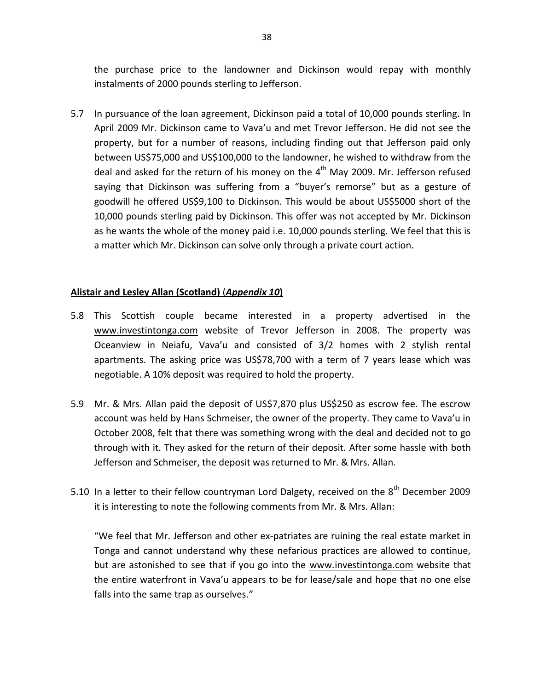the purchase price to the landowner and Dickinson would repay with monthly instalments of 2000 pounds sterling to Jefferson.

5.7 In pursuance of the loan agreement, Dickinson paid a total of 10,000 pounds sterling. In April 2009 Mr. Dickinson came to Vava'u and met Trevor Jefferson. He did not see the property, but for a number of reasons, including finding out that Jefferson paid only between US\$75,000 and US\$100,000 to the landowner, he wished to withdraw from the deal and asked for the return of his money on the  $4<sup>th</sup>$  May 2009. Mr. Jefferson refused saying that Dickinson was suffering from a "buyer's remorse" but as a gesture of goodwill he offered US\$9,100 to Dickinson. This would be about US\$5000 short of the 10,000 pounds sterling paid by Dickinson. This offer was not accepted by Mr. Dickinson as he wants the whole of the money paid i.e. 10,000 pounds sterling. We feel that this is a matter which Mr. Dickinson can solve only through a private court action.

# **Alistair and Lesley Allan (Scotland)** (*Appendix 10***)**

- 5.8 This Scottish couple became interested in a property advertised in the www.investintonga.com website of Trevor Jefferson in 2008. The property was Oceanview in Neiafu, Vava'u and consisted of 3/2 homes with 2 stylish rental apartments. The asking price was US\$78,700 with a term of 7 years lease which was negotiable. A 10% deposit was required to hold the property.
- 5.9 Mr. & Mrs. Allan paid the deposit of US\$7,870 plus US\$250 as escrow fee. The escrow account was held by Hans Schmeiser, the owner of the property. They came to Vava'u in October 2008, felt that there was something wrong with the deal and decided not to go through with it. They asked for the return of their deposit. After some hassle with both Jefferson and Schmeiser, the deposit was returned to Mr. & Mrs. Allan.
- 5.10 In a letter to their fellow countryman Lord Dalgety, received on the  $8<sup>th</sup>$  December 2009 it is interesting to note the following comments from Mr. & Mrs. Allan:

"We feel that Mr. Jefferson and other ex-patriates are ruining the real estate market in Tonga and cannot understand why these nefarious practices are allowed to continue, but are astonished to see that if you go into the www.investintonga.com website that the entire waterfront in Vava'u appears to be for lease/sale and hope that no one else falls into the same trap as ourselves."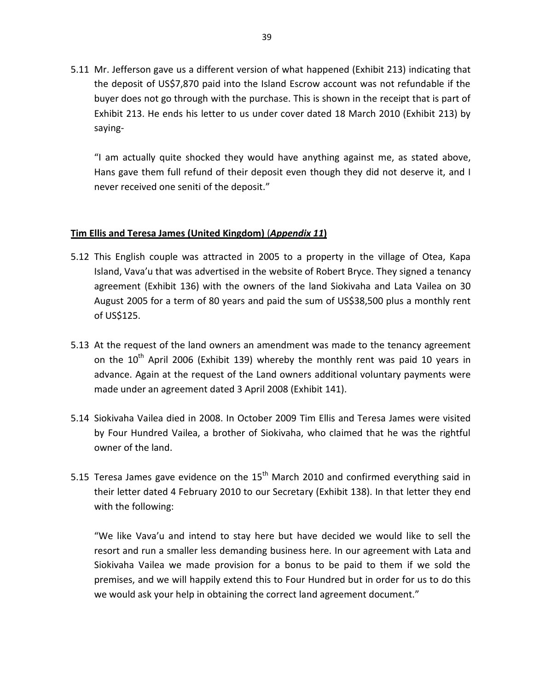5.11 Mr. Jefferson gave us a different version of what happened (Exhibit 213) indicating that the deposit of US\$7,870 paid into the Island Escrow account was not refundable if the buyer does not go through with the purchase. This is shown in the receipt that is part of Exhibit 213. He ends his letter to us under cover dated 18 March 2010 (Exhibit 213) by saying-

"I am actually quite shocked they would have anything against me, as stated above, Hans gave them full refund of their deposit even though they did not deserve it, and I never received one seniti of the deposit."

# **Tim Ellis and Teresa James (United Kingdom)** (*Appendix 11***)**

- 5.12 This English couple was attracted in 2005 to a property in the village of Otea, Kapa Island, Vava'u that was advertised in the website of Robert Bryce. They signed a tenancy agreement (Exhibit 136) with the owners of the land Siokivaha and Lata Vailea on 30 August 2005 for a term of 80 years and paid the sum of US\$38,500 plus a monthly rent of US\$125.
- 5.13 At the request of the land owners an amendment was made to the tenancy agreement on the  $10<sup>th</sup>$  April 2006 (Exhibit 139) whereby the monthly rent was paid 10 years in advance. Again at the request of the Land owners additional voluntary payments were made under an agreement dated 3 April 2008 (Exhibit 141).
- 5.14 Siokivaha Vailea died in 2008. In October 2009 Tim Ellis and Teresa James were visited by Four Hundred Vailea, a brother of Siokivaha, who claimed that he was the rightful owner of the land.
- 5.15 Teresa James gave evidence on the  $15<sup>th</sup>$  March 2010 and confirmed everything said in their letter dated 4 February 2010 to our Secretary (Exhibit 138). In that letter they end with the following:

"We like Vava'u and intend to stay here but have decided we would like to sell the resort and run a smaller less demanding business here. In our agreement with Lata and Siokivaha Vailea we made provision for a bonus to be paid to them if we sold the premises, and we will happily extend this to Four Hundred but in order for us to do this we would ask your help in obtaining the correct land agreement document."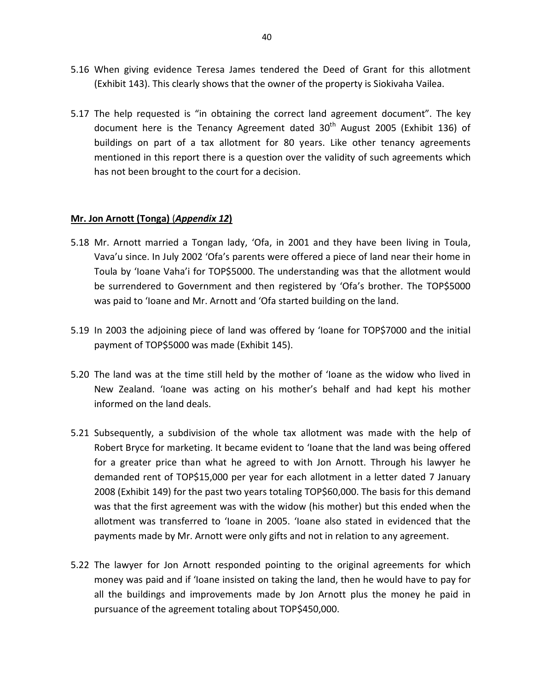- 5.16 When giving evidence Teresa James tendered the Deed of Grant for this allotment (Exhibit 143). This clearly shows that the owner of the property is Siokivaha Vailea.
- 5.17 The help requested is "in obtaining the correct land agreement document". The key document here is the Tenancy Agreement dated  $30<sup>th</sup>$  August 2005 (Exhibit 136) of buildings on part of a tax allotment for 80 years. Like other tenancy agreements mentioned in this report there is a question over the validity of such agreements which has not been brought to the court for a decision.

#### **Mr. Jon Arnott (Tonga)** (*Appendix 12***)**

- 5.18 Mr. Arnott married a Tongan lady, 'Ofa, in 2001 and they have been living in Toula, Vava'u since. In July 2002 'Ofa's parents were offered a piece of land near their home in Toula by 'Ioane Vaha'i for TOP\$5000. The understanding was that the allotment would be surrendered to Government and then registered by 'Ofa's brother. The TOP\$5000 was paid to 'Ioane and Mr. Arnott and 'Ofa started building on the land.
- 5.19 In 2003 the adjoining piece of land was offered by 'Ioane for TOP\$7000 and the initial payment of TOP\$5000 was made (Exhibit 145).
- 5.20 The land was at the time still held by the mother of 'Ioane as the widow who lived in New Zealand. 'Ioane was acting on his mother's behalf and had kept his mother informed on the land deals.
- 5.21 Subsequently, a subdivision of the whole tax allotment was made with the help of Robert Bryce for marketing. It became evident to 'Ioane that the land was being offered for a greater price than what he agreed to with Jon Arnott. Through his lawyer he demanded rent of TOP\$15,000 per year for each allotment in a letter dated 7 January 2008 (Exhibit 149) for the past two years totaling TOP\$60,000. The basis for this demand was that the first agreement was with the widow (his mother) but this ended when the allotment was transferred to 'Ioane in 2005. 'Ioane also stated in evidenced that the payments made by Mr. Arnott were only gifts and not in relation to any agreement.
- 5.22 The lawyer for Jon Arnott responded pointing to the original agreements for which money was paid and if 'Ioane insisted on taking the land, then he would have to pay for all the buildings and improvements made by Jon Arnott plus the money he paid in pursuance of the agreement totaling about TOP\$450,000.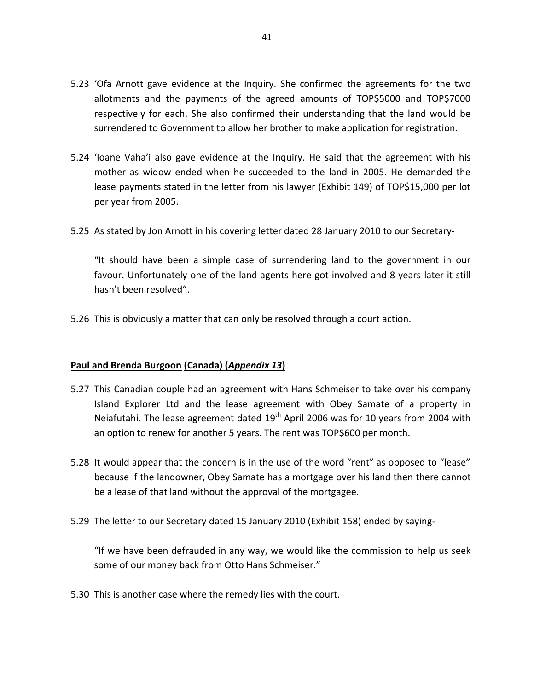- 5.23 'Ofa Arnott gave evidence at the Inquiry. She confirmed the agreements for the two allotments and the payments of the agreed amounts of TOP\$5000 and TOP\$7000 respectively for each. She also confirmed their understanding that the land would be surrendered to Government to allow her brother to make application for registration.
- 5.24 'Ioane Vaha'i also gave evidence at the Inquiry. He said that the agreement with his mother as widow ended when he succeeded to the land in 2005. He demanded the lease payments stated in the letter from his lawyer (Exhibit 149) of TOP\$15,000 per lot per year from 2005.
- 5.25 As stated by Jon Arnott in his covering letter dated 28 January 2010 to our Secretary-

"It should have been a simple case of surrendering land to the government in our favour. Unfortunately one of the land agents here got involved and 8 years later it still hasn't been resolved".

5.26 This is obviously a matter that can only be resolved through a court action.

# **Paul and Brenda Burgoon (Canada) (***Appendix 13***)**

- 5.27 This Canadian couple had an agreement with Hans Schmeiser to take over his company Island Explorer Ltd and the lease agreement with Obey Samate of a property in Neiafutahi. The lease agreement dated  $19<sup>th</sup>$  April 2006 was for 10 years from 2004 with an option to renew for another 5 years. The rent was TOP\$600 per month.
- 5.28 It would appear that the concern is in the use of the word "rent" as opposed to "lease" because if the landowner, Obey Samate has a mortgage over his land then there cannot be a lease of that land without the approval of the mortgagee.
- 5.29 The letter to our Secretary dated 15 January 2010 (Exhibit 158) ended by saying-

"If we have been defrauded in any way, we would like the commission to help us seek some of our money back from Otto Hans Schmeiser."

5.30 This is another case where the remedy lies with the court.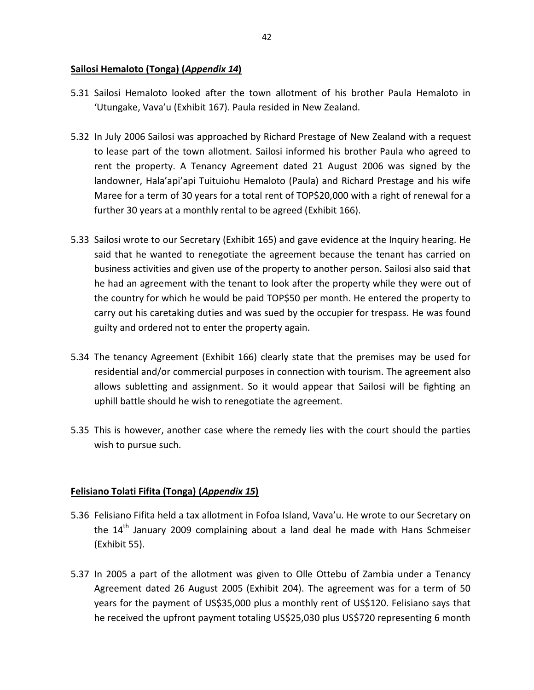# **Sailosi Hemaloto (Tonga) (***Appendix 14***)**

- 5.31 Sailosi Hemaloto looked after the town allotment of his brother Paula Hemaloto in 'Utungake, Vava'u (Exhibit 167). Paula resided in New Zealand.
- 5.32 In July 2006 Sailosi was approached by Richard Prestage of New Zealand with a request to lease part of the town allotment. Sailosi informed his brother Paula who agreed to rent the property. A Tenancy Agreement dated 21 August 2006 was signed by the landowner, Hala'api'api Tuituiohu Hemaloto (Paula) and Richard Prestage and his wife Maree for a term of 30 years for a total rent of TOP\$20,000 with a right of renewal for a further 30 years at a monthly rental to be agreed (Exhibit 166).
- 5.33 Sailosi wrote to our Secretary (Exhibit 165) and gave evidence at the Inquiry hearing. He said that he wanted to renegotiate the agreement because the tenant has carried on business activities and given use of the property to another person. Sailosi also said that he had an agreement with the tenant to look after the property while they were out of the country for which he would be paid TOP\$50 per month. He entered the property to carry out his caretaking duties and was sued by the occupier for trespass. He was found guilty and ordered not to enter the property again.
- 5.34 The tenancy Agreement (Exhibit 166) clearly state that the premises may be used for residential and/or commercial purposes in connection with tourism. The agreement also allows subletting and assignment. So it would appear that Sailosi will be fighting an uphill battle should he wish to renegotiate the agreement.
- 5.35 This is however, another case where the remedy lies with the court should the parties wish to pursue such.

# **Felisiano Tolati Fifita (Tonga) (***Appendix 15***)**

- 5.36 Felisiano Fifita held a tax allotment in Fofoa Island, Vava'u. He wrote to our Secretary on the 14<sup>th</sup> January 2009 complaining about a land deal he made with Hans Schmeiser (Exhibit 55).
- 5.37 In 2005 a part of the allotment was given to Olle Ottebu of Zambia under a Tenancy Agreement dated 26 August 2005 (Exhibit 204). The agreement was for a term of 50 years for the payment of US\$35,000 plus a monthly rent of US\$120. Felisiano says that he received the upfront payment totaling US\$25,030 plus US\$720 representing 6 month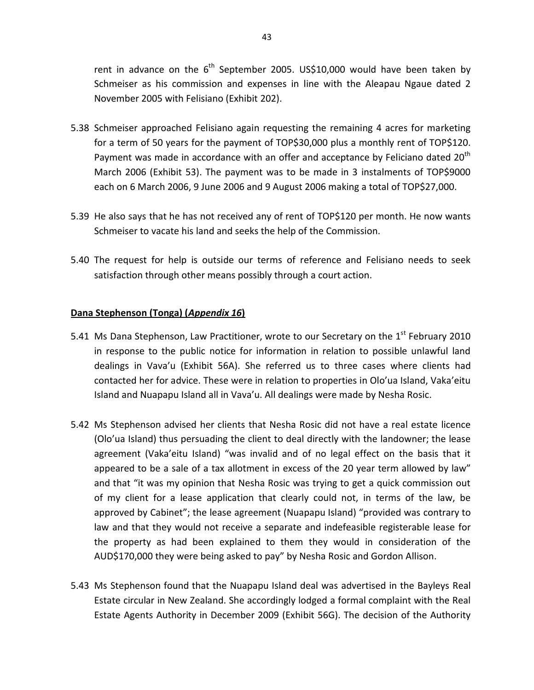rent in advance on the  $6<sup>th</sup>$  September 2005. US\$10,000 would have been taken by Schmeiser as his commission and expenses in line with the Aleapau Ngaue dated 2 November 2005 with Felisiano (Exhibit 202).

- 5.38 Schmeiser approached Felisiano again requesting the remaining 4 acres for marketing for a term of 50 years for the payment of TOP\$30,000 plus a monthly rent of TOP\$120. Payment was made in accordance with an offer and acceptance by Feliciano dated  $20<sup>th</sup>$ March 2006 (Exhibit 53). The payment was to be made in 3 instalments of TOP\$9000 each on 6 March 2006, 9 June 2006 and 9 August 2006 making a total of TOP\$27,000.
- 5.39 He also says that he has not received any of rent of TOP\$120 per month. He now wants Schmeiser to vacate his land and seeks the help of the Commission.
- 5.40 The request for help is outside our terms of reference and Felisiano needs to seek satisfaction through other means possibly through a court action.

#### **Dana Stephenson (Tonga) (***Appendix 16***)**

- 5.41 Ms Dana Stephenson, Law Practitioner, wrote to our Secretary on the  $1<sup>st</sup>$  February 2010 in response to the public notice for information in relation to possible unlawful land dealings in Vava'u (Exhibit 56A). She referred us to three cases where clients had contacted her for advice. These were in relation to properties in Olo'ua Island, Vaka'eitu Island and Nuapapu Island all in Vava'u. All dealings were made by Nesha Rosic.
- 5.42 Ms Stephenson advised her clients that Nesha Rosic did not have a real estate licence (Olo'ua Island) thus persuading the client to deal directly with the landowner; the lease agreement (Vaka'eitu Island) "was invalid and of no legal effect on the basis that it appeared to be a sale of a tax allotment in excess of the 20 year term allowed by law" and that "it was my opinion that Nesha Rosic was trying to get a quick commission out of my client for a lease application that clearly could not, in terms of the law, be approved by Cabinet"; the lease agreement (Nuapapu Island) "provided was contrary to law and that they would not receive a separate and indefeasible registerable lease for the property as had been explained to them they would in consideration of the AUD\$170,000 they were being asked to pay" by Nesha Rosic and Gordon Allison.
- 5.43 Ms Stephenson found that the Nuapapu Island deal was advertised in the Bayleys Real Estate circular in New Zealand. She accordingly lodged a formal complaint with the Real Estate Agents Authority in December 2009 (Exhibit 56G). The decision of the Authority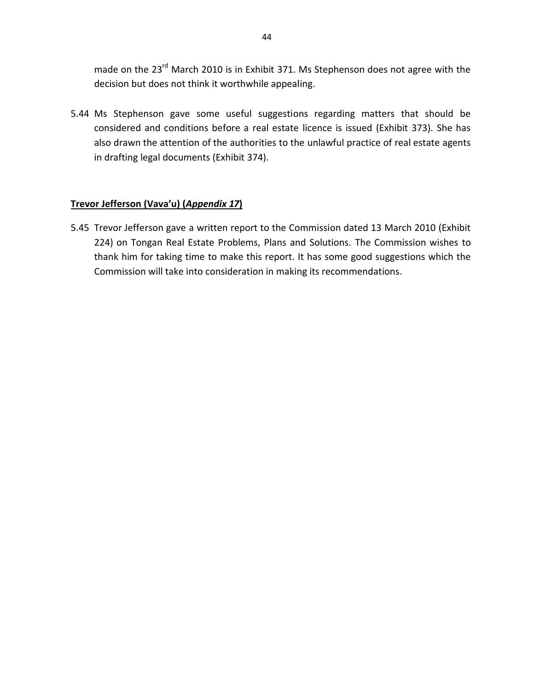made on the 23<sup>rd</sup> March 2010 is in Exhibit 371. Ms Stephenson does not agree with the decision but does not think it worthwhile appealing.

5.44 Ms Stephenson gave some useful suggestions regarding matters that should be considered and conditions before a real estate licence is issued (Exhibit 373). She has also drawn the attention of the authorities to the unlawful practice of real estate agents in drafting legal documents (Exhibit 374).

# **Trevor Jefferson (Vava'u) (***Appendix 17***)**

5.45 Trevor Jefferson gave a written report to the Commission dated 13 March 2010 (Exhibit 224) on Tongan Real Estate Problems, Plans and Solutions. The Commission wishes to thank him for taking time to make this report. It has some good suggestions which the Commission will take into consideration in making its recommendations.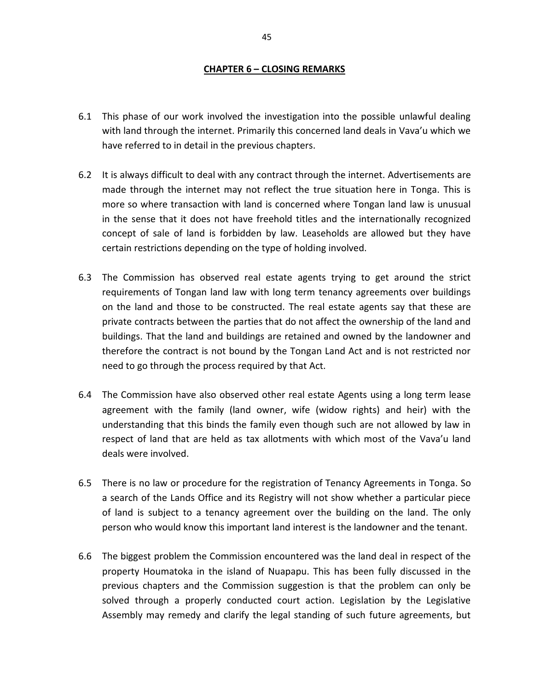#### **CHAPTER 6 – CLOSING REMARKS**

- 6.1 This phase of our work involved the investigation into the possible unlawful dealing with land through the internet. Primarily this concerned land deals in Vava'u which we have referred to in detail in the previous chapters.
- 6.2 It is always difficult to deal with any contract through the internet. Advertisements are made through the internet may not reflect the true situation here in Tonga. This is more so where transaction with land is concerned where Tongan land law is unusual in the sense that it does not have freehold titles and the internationally recognized concept of sale of land is forbidden by law. Leaseholds are allowed but they have certain restrictions depending on the type of holding involved.
- 6.3 The Commission has observed real estate agents trying to get around the strict requirements of Tongan land law with long term tenancy agreements over buildings on the land and those to be constructed. The real estate agents say that these are private contracts between the parties that do not affect the ownership of the land and buildings. That the land and buildings are retained and owned by the landowner and therefore the contract is not bound by the Tongan Land Act and is not restricted nor need to go through the process required by that Act.
- 6.4 The Commission have also observed other real estate Agents using a long term lease agreement with the family (land owner, wife (widow rights) and heir) with the understanding that this binds the family even though such are not allowed by law in respect of land that are held as tax allotments with which most of the Vava'u land deals were involved.
- 6.5 There is no law or procedure for the registration of Tenancy Agreements in Tonga. So a search of the Lands Office and its Registry will not show whether a particular piece of land is subject to a tenancy agreement over the building on the land. The only person who would know this important land interest is the landowner and the tenant.
- 6.6 The biggest problem the Commission encountered was the land deal in respect of the property Houmatoka in the island of Nuapapu. This has been fully discussed in the previous chapters and the Commission suggestion is that the problem can only be solved through a properly conducted court action. Legislation by the Legislative Assembly may remedy and clarify the legal standing of such future agreements, but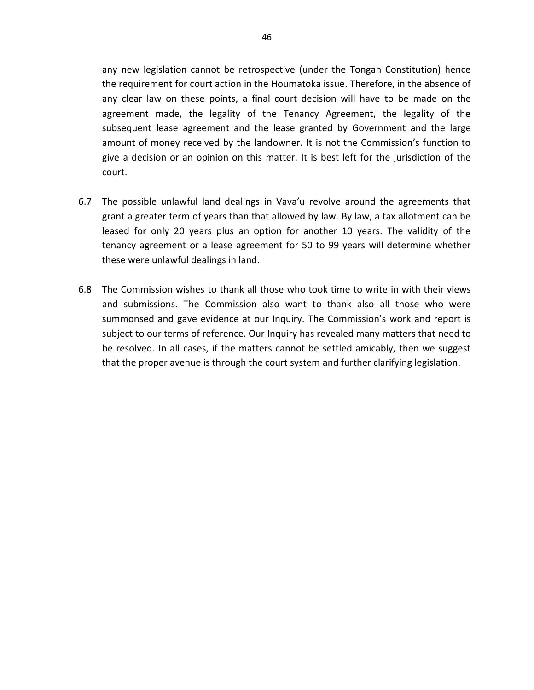any new legislation cannot be retrospective (under the Tongan Constitution) hence the requirement for court action in the Houmatoka issue. Therefore, in the absence of any clear law on these points, a final court decision will have to be made on the agreement made, the legality of the Tenancy Agreement, the legality of the subsequent lease agreement and the lease granted by Government and the large amount of money received by the landowner. It is not the Commission's function to give a decision or an opinion on this matter. It is best left for the jurisdiction of the court.

- 6.7 The possible unlawful land dealings in Vava'u revolve around the agreements that grant a greater term of years than that allowed by law. By law, a tax allotment can be leased for only 20 years plus an option for another 10 years. The validity of the tenancy agreement or a lease agreement for 50 to 99 years will determine whether these were unlawful dealings in land.
- 6.8 The Commission wishes to thank all those who took time to write in with their views and submissions. The Commission also want to thank also all those who were summonsed and gave evidence at our Inquiry. The Commission's work and report is subject to our terms of reference. Our Inquiry has revealed many matters that need to be resolved. In all cases, if the matters cannot be settled amicably, then we suggest that the proper avenue is through the court system and further clarifying legislation.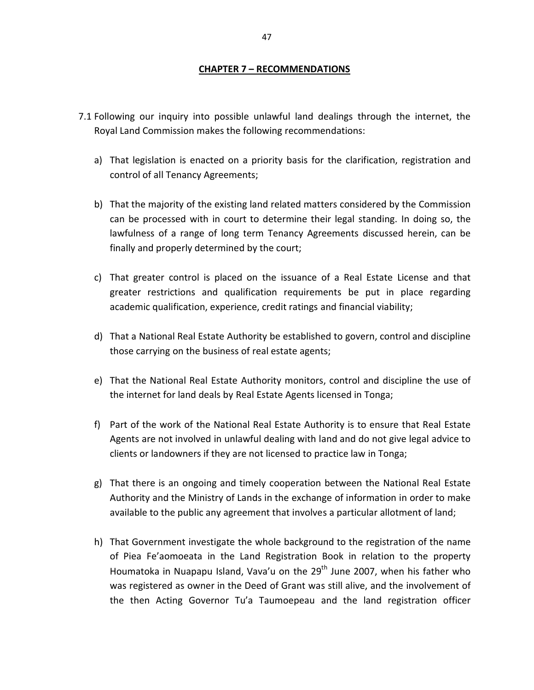#### **CHAPTER 7 – RECOMMENDATIONS**

- 7.1 Following our inquiry into possible unlawful land dealings through the internet, the Royal Land Commission makes the following recommendations:
	- a) That legislation is enacted on a priority basis for the clarification, registration and control of all Tenancy Agreements;
	- b) That the majority of the existing land related matters considered by the Commission can be processed with in court to determine their legal standing. In doing so, the lawfulness of a range of long term Tenancy Agreements discussed herein, can be finally and properly determined by the court;
	- c) That greater control is placed on the issuance of a Real Estate License and that greater restrictions and qualification requirements be put in place regarding academic qualification, experience, credit ratings and financial viability;
	- d) That a National Real Estate Authority be established to govern, control and discipline those carrying on the business of real estate agents;
	- e) That the National Real Estate Authority monitors, control and discipline the use of the internet for land deals by Real Estate Agents licensed in Tonga;
	- f) Part of the work of the National Real Estate Authority is to ensure that Real Estate Agents are not involved in unlawful dealing with land and do not give legal advice to clients or landowners if they are not licensed to practice law in Tonga;
	- g) That there is an ongoing and timely cooperation between the National Real Estate Authority and the Ministry of Lands in the exchange of information in order to make available to the public any agreement that involves a particular allotment of land;
	- h) That Government investigate the whole background to the registration of the name of Piea Fe'aomoeata in the Land Registration Book in relation to the property Houmatoka in Nuapapu Island, Vava'u on the  $29<sup>th</sup>$  June 2007, when his father who was registered as owner in the Deed of Grant was still alive, and the involvement of the then Acting Governor Tu'a Taumoepeau and the land registration officer